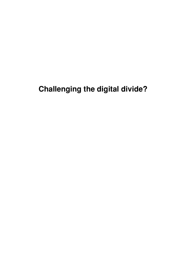# **Challenging the digital divide?**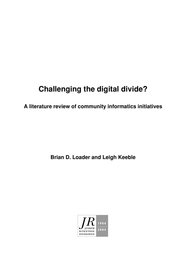# **Challenging the digital divide?**

**A literature review of community informatics initiatives**

**Brian D. Loader and Leigh Keeble**

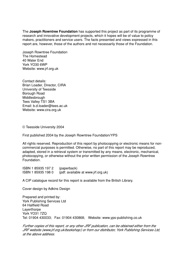The **Joseph Rowntree Foundation** has supported this project as part of its programme of research and innovative development projects, which it hopes will be of value to policy makers, practitioners and service users. The facts presented and views expressed in this report are, however, those of the authors and not necessarily those of the Foundation.

Joseph Rowntree Foundation The Homestead 40 Water End York YO30 6WP Website: www.jrf.org.uk

Contact details: Brian Loader, Director, CIRA University of Teesside Borough Road **Middlesbrough** Tees Valley TS1 3BA Email: b.d.loader@tees.ac.uk Website: www.cira.org.uk

© Teesside University 2004

First published 2004 by the Joseph Rowntree Foundation/YPS

All rights reserved. Reproduction of this report by photocopying or electronic means for noncommercial purposes is permitted. Otherwise, no part of this report may be reproduced, adapted, stored in a retrieval system or transmitted by any means, electronic, mechanical, photocopying, or otherwise without the prior written permission of the Joseph Rowntree Foundation.

ISBN 1 85935 197 2 (paperback) ISBN 1 85935 198 0 (pdf: available at www.jrf.org.uk)

A CIP catalogue record for this report is available from the British Library.

Cover design by Adkins Design

Prepared and printed by: York Publishing Services Ltd 64 Hallfield Road Layerthorpe York YO31 7ZQ Tel: 01904 430033; Fax: 01904 430868; Website: www.yps-publishing.co.uk

Further copies of this report, or any other JRF publication, can be obtained either from the JRF website (www.jrf.org.uk/bookshop/) or from our distributor, York Publishing Services Ltd, at the above address.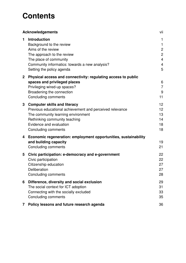## **Contents**

| <b>Acknowledgements</b> |                                                                                                                                                                                                                          | vii                                                                                                   |
|-------------------------|--------------------------------------------------------------------------------------------------------------------------------------------------------------------------------------------------------------------------|-------------------------------------------------------------------------------------------------------|
| 1                       | <b>Introduction</b><br>Background to the review<br>Aims of the review<br>The approach to the review<br>The place of community<br>Community informatics: towards a new analysis?<br>Setting the policy agenda             | $\mathbf{1}$<br>$\mathbf{1}$<br>$\mathbf{2}$<br>$\mathbf{2}$<br>$\overline{4}$<br>$\overline{4}$<br>5 |
| $\mathbf 2$             | Physical access and connectivity: regulating access to public<br>spaces and privileged places<br>Privileging wired-up spaces?<br>Broadening the connection<br>Concluding comments                                        | 6<br>$\overline{7}$<br>9<br>11                                                                        |
| 3                       | <b>Computer skills and literacy</b><br>Previous educational achievement and perceived relevance<br>The community learning environment<br>Rethinking community teaching<br>Evidence and evaluation<br>Concluding comments | 12<br>12<br>13<br>14<br>18<br>18                                                                      |
| 4                       | Economic regeneration: employment opportunities, sustainability<br>and building capacity<br>Concluding comments                                                                                                          | 19<br>21                                                                                              |
| 5                       | Civic participation: e-democracy and e-government<br>Civic participation<br>Citizenship education<br>Deliberation<br>Concluding comments                                                                                 | 22<br>22<br>27<br>27<br>28                                                                            |
| 6                       | Difference, diversity and social exclusion<br>The social context for ICT adoption<br>Connecting with the socially excluded<br>Concluding comments                                                                        | 29<br>31<br>33<br>35                                                                                  |
| 7                       | Policy lessons and future research agenda                                                                                                                                                                                | 36                                                                                                    |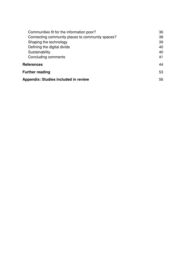| Communities fit for the information poor?        | 36 |
|--------------------------------------------------|----|
| Connecting community places to community spaces? | 38 |
| Shaping the technology                           | 39 |
| Defining the digital divide                      | 40 |
| Sustainability                                   | 40 |
| Concluding comments                              | 41 |
| <b>References</b>                                | 44 |
| <b>Further reading</b>                           |    |
| <b>Appendix: Studies included in review</b>      |    |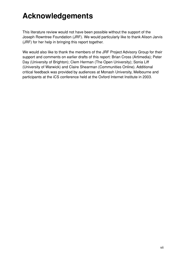# **Acknowledgements**

This literature review would not have been possible without the support of the Joseph Rowntree Foundation (JRF). We would particularly like to thank Alison Jarvis (JRF) for her help in bringing this report together.

We would also like to thank the members of the JRF Project Advisory Group for their support and comments on earlier drafts of this report: Brian Cross (Artimedia); Peter Day (University of Brighton); Clem Herman (The Open University); Sonia Liff (University of Warwick) and Claire Shearman (Communities Online). Additional critical feedback was provided by audiences at Monash University, Melbourne and participants at the iCS conference held at the Oxford Internet Institute in 2003.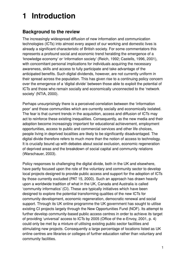# **1 Introduction**

### **Background to the review**

The increasingly widespread diffusion of new information and communication technologies (ICTs) into almost every aspect of our working and domestic lives is already a significant characteristic of British society. For some commentators this represents a profound social and economic trend heralding the emergence of a 'knowledge economy' or 'information society' (Reich, 1992; Castells, 1996, 2001), with concomitant personal implications for individuals acquiring the necessary awareness, skills and access to fully participate and take advantage of the anticipated benefits. Such digital dividends, however, are not currently uniform in their spread across the population. This has given rise to a continuing policy concern over the emergence of a 'digital divide' between those able to exploit the potential of ICTs and those who remain socially and economically unconnected to the 'network society' (NTIA, 2000).

Perhaps unsurprisingly there is a perceived correlation between the 'information poor' and those communities which are currently socially and economically isolated. The fear is that current trends in the acquisition, access and diffusion of ICTs may act to reinforce these existing inequalities. Consequently, as the new media and their adoption become increasingly important for educational achievement, employment opportunities, access to public and commercial services and other life choices, people living in deprived localities are likely to be significantly disadvantaged. The digital divide therefore refers to much more than the notion of access to technology. It is crucially bound up with debates about social exclusion, economic regeneration of deprived areas and the breakdown of social capital and community relations (Warschauer, 2003).

Policy responses to challenging the digital divide, both in the UK and elsewhere, have partly focused upon the role of the voluntary and community sector to develop local projects designed to provide public access and support for the adoption of ICTs by those currently excluded (PAT 15, 2000). Such an approach has drawn heavily upon a worldwide tradition of what in the UK, Canada and Australia is called 'community informatics' (CI). These are typically initiatives which have been designed to explore the potential transforming qualities of the new ICTs for community development, economic regeneration, democratic renewal and social support. Through its UK online programme the UK government has sought to utilise existing CI projects largely through the New Opportunities Fund (NOF). Its attempt to further develop community-based public access centres in order to achieve its target of providing 'universal' access to ICTs by 2005 (Office of the e-Envoy, 2001, p. 4) could only be met by a mixture of utilising existing public sector facilities and stimulating new projects. Consequently a large percentage of locations listed as UK online centres are libraries or colleges of further education rather than voluntary and community facilities.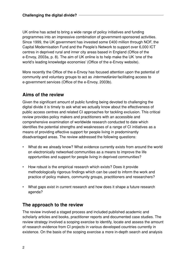UK online has acted to bring a wide range of policy initiatives and funding programmes into an impressive combination of government-sponsored activities. Since 1999, the UK government has invested some £400 million through NOF, the Capital Modernisation Fund and the People's Network to support over 6,000 ICT centres in deprived rural and inner city areas based in England (Office of the e-Envoy, 2003a, p. 8). The aim of UK online is to help make the UK 'one of the world's leading knowledge economies' (Office of the e-Envoy website).

More recently the Office of the e-Envoy has focused attention upon the potential of community and voluntary groups to act as *intermediaries* facilitating access to e-government services (Office of the e-Envoy, 2003b).

### **Aims of the review**

Given the significant amount of public funding being devoted to challenging the digital divide it is timely to ask what we actually know about the effectiveness of public access centres and related CI approaches for tackling exclusion. This critical review provides policy makers and practitioners with an accessible and comprehensive examination of worldwide research conducted to date which identifies the potential strengths and weaknesses of a range of CI initiatives as a means of providing effective support for people living in predominantly disadvantaged areas. The review addressed the following questions:

- What do we already know? What evidence currently exists from around the world on electronically networked communities as a means to improve the life opportunities and support for people living in deprived communities?
- How robust is the empirical research which exists? Does it provide methodologically rigorous findings which can be used to inform the work and practice of policy makers, community groups, practitioners and researchers?
- What gaps exist in current research and how does it shape a future research agenda?

### **The approach to the review**

The review involved a staged process and included published academic and scholarly articles and books, practitioner reports and documented case studies. The review strategy involved a scoping exercise to identify, locate and assess the amount of research evidence from CI projects in various developed countries currently in existence. On the basis of the scoping exercise a more in-depth search and analysis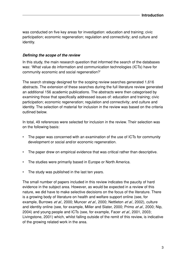was conducted on five key areas for investigation: education and training; civic participation; economic regeneration; regulation and connectivity; and culture and identity.

#### **Defining the scope of the review**

In this study, the main research question that informed the search of the databases was: 'What value do information and communication technologies (ICTs) have for community economic and social regeneration?'

The search strategy designed for the scoping review searches generated 1,616 abstracts. The extension of these searches during the full literature review generated an additional 156 academic publications. The abstracts were then categorised by examining those that specifically addressed issues of: education and training; civic participation; economic regeneration; regulation and connectivity; and culture and identity. The selection of material for inclusion in the review was based on the criteria outlined below.

In total, 49 references were selected for inclusion in the review. Their selection was on the following basis:

- The paper was concerned with an examination of the use of ICTs for community development or social and/or economic regeneration.
- The paper drew on empirical evidence that was critical rather than descriptive.
- The studies were primarily based in Europe or North America.
- The study was published in the last ten years.

The small number of papers included in this review indicates the paucity of hard evidence in the subject area. However, as would be expected in a review of this nature, we did have to make selective decisions on the focus of the literature. There is a growing body of literature on health and welfare support online (see, for example, Burrows *et al.*, 2000; Muncer *et al.*, 2000; Nettleton *et al.*, 2002), culture and identity online (see, for example, Miller and Slater, 2000; Primo et al., 2000; Nip, 2004) and young people and ICTs (see, for example, Facer et al., 2001, 2003; Livingstone, 2001) which, whilst falling outside of the remit of this review, is indicative of the growing related work in the area.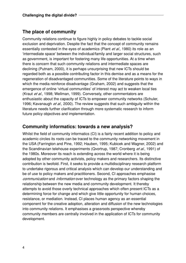#### **The place of community**

Community relations continue to figure highly in policy debates to tackle social exclusion and deprivation. Despite the fact that the concept of community remains essentially contested in the eyes of academics (Plant et al., 1980) its role as an 'intermediate space' between the individual/family and larger social structures, such as government, is important for fostering many life opportunities. At a time when there is concern that such community relations and intermediate spaces are declining (Putnam, 2000), it is perhaps unsurprising that new ICTs should be regarded both as a possible contributing factor in this demise and as a means for the regeneration of disadvantaged communities. Some of the literature points to ways in which the media reinforce disadvantage (Graham, 2002) and suggests that the emergence of online 'virtual communities' of interest may act to weaken local ties (Kraut et al., 1998; Wellman, 1999). Conversely, other commentators are enthusiastic about the capacity of ICTs to empower community networks (Schuler, 1996; Kavanaugh *et al.*, 2000). The review suggests that such ambiguity within the literature needs further clarification through more systematic research to inform future policy objectives and implementation.

#### **Community informatics: towards a new analysis?**

Whilst the field of community informatics (CI) is a fairly recent addition to policy and academic circles its roots can be traced to the community networking movement in the USA (Farrington and Pine, 1992; Hauben, 1995; Kubicek and Wagner, 2002) and the Scandinavian telehouse experiments (Qvortrup, 1987; Cronberg et al., 1991) of the 1980s. Moreover its reach is extending across the world where it is being adopted by other community activists, policy makers and researchers. Its distinctive contribution is twofold. First, it seeks to provide a multidisciplinary research platform to undertake rigorous and critical analysis which can develop our understanding and be of use to policy makers and practitioners. Second, CI approaches emphasise communication and *information* over technology as the primary factors shaping the relationship between the new media and community development. It thereby attempts to avoid those overly technical approaches which often present ICTs as a determining force for change and which give little opportunity for human choices, resistance, or mediation. Instead, CI places human agency as an essential component for the creative adoption, alteration and diffusion of the new technologies into community relations. It emphasises a grassroots perspective whereby community members are centrally involved in the application of ICTs for community development.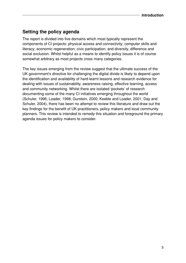## **Setting the policy agenda**

The report is divided into five domains which most typically represent the components of CI projects: physical access and connectivity; computer skills and literacy; economic regeneration; civic participation; and diversity, difference and social exclusion. Whilst helpful as a means to identify policy issues it is of course somewhat arbitrary as most projects cross many categories.

The key issues emerging from the review suggest that the ultimate success of the UK government's directive for challenging the digital divide is likely to depend upon the identification and availability of hard-learnt lessons and research evidence for dealing with issues of sustainability, awareness raising, effective learning, access and community networking. Whilst there are isolated 'pockets' of research documenting some of the many CI initiatives emerging throughout the world (Schuler, 1996; Loader, 1998; Gurstein, 2000; Keeble and Loader, 2001; Day and Schuler, 2004), there has been no attempt to review this literature and draw out the key findings for the benefit of UK practitioners, policy makers and local community planners. This review is intended to remedy this situation and foreground the primary agenda issues for policy makers to consider.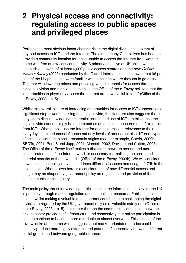## **2 Physical access and connectivity: regulating access to public spaces and privileged places**

Perhaps the most obvious factor characterising the digital divide is the extent of physical access to ICTs and the Internet. The aim of many CI initiatives has been to provide a community location for those unable to access the Internet from work or home with free or low-cost connectivity. A primary objective of UK online was to establish a network of at least 6,000 public access centres and the new *Oxford* Internet Survey (2003) conducted by the Oxford Internet Institute showed that 96 per cent of the UK population were familiar with a location where they could go online. Together with lowering prices and providing varied channels for access through digital television and mobile technologies, the Office of the e-Envoy believes that the 'opportunities to physically access the Internet are now available to all' (Office of the e-Envoy, 2003a, p. 5).

Whilst this overall picture of increasing opportunities for access to ICTs appears as a significant step towards tackling the digital divide, the literature also suggests that it may act to disguise widening differential access and use of ICTs. In this sense the digital divide cannot simply be understood as an absolute measurement of exclusion from ICTs. What people use the Internet for and its perceived relevance to their everyday life experiences influence not only levels of access but also different types of access according to socio-economic origins (see, for example, Carvin, 2000b; BECTa, 2001; Perri 6 and Jupp, 2001; Mansell, 2002; Davison and Cotten, 2003). The Office of the e-Envoy itself makes a distinction between access and more sophisticated use of the Internet which is necessary for realising the social and material benefits of the new media (Office of the e-Envoy, 2003b). We will consider how educational policy may help address differential access and usage of ICTs in the next section. What follows here is a consideration of how differential access and usage may be shaped by government policy on regulation and provision of the telecommunications industry.

The main policy thrust for widening participation in the information society for the UK is primarily through market regulation and competition measures. Public access points, whilst making a valuable and important contribution to challenging the digital divide, are regarded by the UK government only as a 'valuable safety net' (Office of the e-Envoy, 2003a, p. 5). It is rather through the commercial competition between private sector providers of infrastructure and connectivity that online participation is seen to continue to become more affordable to almost everyone. This section of the review looks at research which suggests that market-orientated policies could actually produce more highly differentiated patterns of connectivity between different social groups and between geographical areas.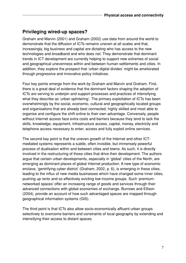### **Privileging wired-up spaces?**

Graham and Marvin (2001) and Graham (2002) use data from around the world to demonstrate that the diffusion of ICTs remains uneven at all scales and that, increasingly, big business and capital are dictating who has access to the new technologies and broadband and who does not. They demonstrate that dominant trends in ICT development are currently helping to support new extremes of social and geographical unevenness within and between human settlements and cities. In addition, they explore the prospect that 'urban digital divides' might be ameliorated through progressive and innovative policy initiatives.

Four key points emerge from the work by Graham and Marvin and Graham. First, there is a great deal of evidence that the dominant factors shaping the adoption of ICTs are serving to underpin and support processes and practices of intensifying what they describe as 'urban splintering'. The primary exploitation of ICTs has been overwhelmingly by the social, economic, cultural and geographically located groups and organisations that are already best connected, highly skilled and most able to organise and configure the shift online to their own advantage. Conversely, people without Internet access face extra costs and barriers because they tend to lack the skills, knowledge, equipment, infrastructure access, capital, money, electricity and telephone access necessary to enter, access and fully exploit online services.

The second key point is that the uneven growth of the Internet and other ICTmediated systems represents a subtle, often invisible, but immensely powerful process of dualisation within and between cities and towns. As such, it is directly involved in the restructuring of those cities that drive their development. The authors argue that certain urban developments, especially in 'global' cities of the North, are emerging as dominant places of global Internet production. A new type of economic enclave, 'gentrifying cyber district' (Graham, 2002, p. 6), is emerging in these cities, leading to the influx of new media businesses which have changed some inner cities, pushing up rents and so effectively evicting low-income groups. Such 'premiumnetworked spaces' offer an increasing range of goods and services through their advanced connections with global economies of exchange. Burrows and Ellison (2004), provide an account of how such advantaged spaces are mapped through geographical information systems (GIS).

The third point is that ICTs also allow socio-economically affluent urban groups selectively to overcome barriers and constraints of local geography by extending and intensifying their access to distant spaces.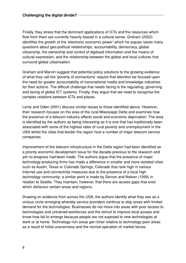Finally, they stress that the dominant applications of ICTs and the resources which flow from them are currently heavily biased in a cultural sense. Graham (2002) identifies the growth of the 'electronic economic power' which he argues raises many questions about geo-political relationships, accountability, democracy, global citizenship, the ownership and control of digitised information and the means of cultural expression, and the relationship between the global and local cultures that surround global urbanisation.

Graham and Marvin suggest that potential policy solutions to the growing evidence of what they call the 'poverty of connections' require that attention be focused upon the need for greater accountability of transnational media and knowledge industries for their actions. The difficult challenge that needs facing is the regulating, governing and taxing of global ICT systems. Finally, they argue that we need to recognise the complex relations between ICTs and places.

Lentz and Oden (2001) discuss similar issues to those identified above. However, their research focuses on the area of the rural Mississippi Delta and examines how the presence of a telecom industry affects social and economic deprivation. The area is identified by the authors as being interesting as it is one that has traditionally been associated with some of the highest rates of rural poverty and unemployment in the USA whilst the cities that border the region host a number of major telecom service companies.

Improvement of the telecom infrastructure in the Delta region had been identified as a priority economic development issue for the decade previous to the research and yet no progress had been made. The authors argue that the presence of major technology-producing firms has made a difference in smaller and more isolated cities such as Austin, Texas or Colorado Springs, Colorado that rank high in various Internet use and connectivity measures due to the presence of a local high technology community; a similar point is made by Servon and Nelson (1999) in relation to Seattle. They maintain, however, that there are access gaps that exist which disfavour certain areas and regions.

Drawing on evidence from across the USA, the authors identify what they see as a vicious circle emerging whereby service providers continue to skip areas with limited demand for the technologies. Businesses do not move into areas with poor access to technologies and untrained workforces and the stimuli to improve local access and know-how fail to emerge because people are not exposed to new technologies at work or at home. Technology-rich areas get richer relative to technology-poor areas as a result of initial unevenness and the normal operation of market forces.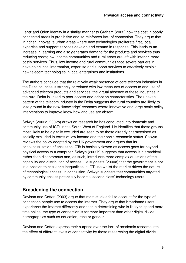Lentz and Oden identify in a similar manner to Graham (2002) how the cost in poorly connected areas is prohibitive and so reinforces lack of connection. They argue that in richer, innovative urban areas where new technologies proliferate first, local expertise and support services develop and expand in response. This leads to an increase in learning and also generates demand for the products and services thus reducing costs; low-income communities and rural areas are left with inferior, more costly services. Thus, low-income and rural communities face severe barriers in developing local information, expertise and support services to effectively exploit new telecom technologies in local enterprises and institutions.

The authors conclude that the relatively weak presence of core telecom industries in the Delta counties is strongly correlated with low measures of access to and use of advanced telecom products and services; the virtual absence of these industries in the rural Delta is linked to poor access and adoption characteristics. The uneven pattern of the telecom industry in the Delta suggests that rural counties are likely to lose ground in the new 'knowledge' economy where innovative and large-scale policy interventions to improve know-how and use are absent.

Selwyn (2002a, 2002b) draws on research he has conducted into domestic and community use of ICTs in the South West of England. He identifies that those groups most likely to be digitally excluded are seen to be those already characterised as socially excluded in terms of low income and their socio-economic status. Selwyn reviews the policy adopted by the UK government and argues that its conceptualisation of access to ICTs is basically flawed as access goes far beyond physical access to a computer. Selwyn (2002b) suggests that access is hierarchical rather than dichotomous and, as such, introduces more complex questions of the capability and distribution of access. He suggests (2000a) that the government is not in a position to challenge inequalities in ICT use whilst the market drives the nature of technological access. In conclusion, Selwyn suggests that communities targeted by community access potentially become 'second class' technology users.

### **Broadening the connection**

Davison and Cotten (2003) argue that most studies fail to account for the type of connection people use to access the Internet. They argue that broadband users experience the Internet differently and that in determining who is likely to spend more time online, the type of connection is far more important than other digital divide demographics such as education, race or gender.

Davison and Cotten express their surprise over the lack of academic research into the effect of different levels of connectivity by those researching the digital divide.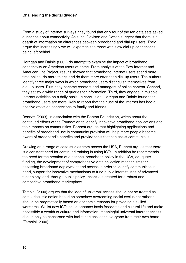From a study of Internet surveys, they found that only four of the ten data sets asked questions about connectivity. As such, Davison and Cotten suggest that there is a dearth of information on differences between broadband and dial-up users. They argue that increasingly we will expect to see those with slow dial-up connections being left behind.

Horrigan and Rainie (2002) do attempt to examine the impact of broadband connectivity on American users at home. From analysis of the Pew Internet and American Life Project, results showed that broadband Internet users spend more time online, do more things and do them more often than dial-up users. The authors identify three major ways in which broadband users distinguish themselves from dial-up users. First, they become creators and managers of online content. Second, they satisfy a wide range of queries for information. Third, they engage in multiple Internet activities on a daily basis. In conclusion, Horrigan and Rainie found that broadband users are more likely to report that their use of the Internet has had a positive effect on connections to family and friends.

Bennett (2003), in association with the Benton Foundation, writes about the continued efforts of the Foundation to identify innovative broadband applications and their impacts on communities. Bennett argues that highlighting applications and benefits of broadband use in community provision will help more people become aware of broadband's benefits and provide tools that can assist communities.

Drawing on a range of case studies from across the USA, Bennett argues that there is a constant need for continued training in using ICTs. In addition he recommends the need for the creation of a national broadband policy in the USA, adequate funding, the development of comprehensive data collection mechanisms for assessing broadband deployment and access in order to identify communities in need, support for innovative mechanisms to fund public interest uses of advanced technology, and, through public policy, incentives created for a robust and competitive broadband marketplace.

Tambini (2000) argues that the idea of universal access should not be treated as some idealistic notion based on somehow overcoming social exclusion; rather it should be pragmatically based on economic reasons for providing a skilled workforce. Whilst new ICTs could enhance basic freedoms and cultural life and make accessible a wealth of culture and information, meaningful universal Internet access should only be concerned with facilitating access to everyone from their own home (Tambini, 2000).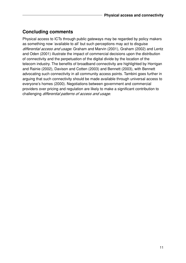## **Concluding comments**

Physical access to ICTs through public gateways may be regarded by policy makers as something now 'available to all' but such perceptions may act to disguise differential access and usage. Graham and Marvin (2001), Graham (2002) and Lentz and Oden (2001) illustrate the impact of commercial decisions upon the distribution of connectivity and the perpetuation of the digital divide by the location of the telecom industry. The benefits of broadband connectivity are highlighted by Horrigan and Rainie (2002), Davison and Cotten (2003) and Bennett (2003), with Bennett advocating such connectivity in all community access points. Tambini goes further in arguing that such connectivity should be made available through universal access to everyone's homes (2000). Negotiations between government and commercial providers over pricing and regulation are likely to make a significant contribution to challenging differential patterns of access and usage.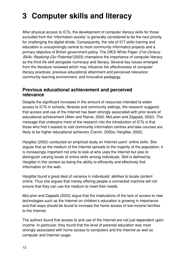# **3 Computer skills and literacy**

After physical access to ICTs, the development of computer literacy skills for those excluded from the 'information society' is generally considered to be the next priority for challenging the digital divide. Consequently, the role of ICT skills training and education is unsurprisingly central to most community informatics projects and a primary objective of British government policy. The DfES White Paper 21st Century Skills: Realising Our Potential (2003) champions the importance of computer literacy as the third life skill alongside numeracy and literacy. Several key issues emerged from the literature reviewed which may influence the effectiveness of computer literacy practices: previous educational attainment and perceived relevance; community learning environment; and innovative pedagogy.

#### **Previous educational achievement and perceived relevance**

Despite the significant increases in the amount of resources intended to widen access to ICTs in schools, libraries and community settings, the research suggests that access and use of the Internet has been strongly associated with prior levels of educational achievement (Allen and Rainie, 2002; McLaren and Zappalà, 2002). The message that underpins most of the research into the introduction of ICTs is that those who find it easiest to visit community information centres and take courses are likely to be higher educational achievers (Carvin, 2000a; Hargittai, 2002).

Hargittai (2002) conducted an empirical study on Internet users' online skills. She argues that as the medium of the Internet spreads to the majority of the population, it is increasingly important not only to look at who uses the Internet but also to distinguish varying levels of online skills among individuals. Skill is defined by Hargittai in this context as being the ability to efficiently and effectively find information on the web.

Hargittai found a great deal of variance in individuals' abilities to locate content online. Thus she argues that merely offering people a connected machine will not ensure that they can use the medium to meet their needs.

McLaren and Zappalà (2002) argue that the implications of the lack of access to new technologies such as the Internet on children's education is growing in importance and that ways should be found to increase the home access of low-income families to the Internet.

The authors found that access to and use of the Internet are not just dependent upon income. In particular, they found that the level of parental education was most strongly associated with home access to computers and the Internet as well as computer and Internet usage.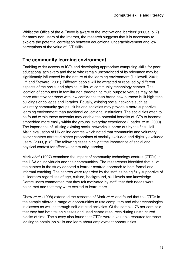Whilst the Office of the e-Envoy is aware of the 'motivational barriers' (2003a, p. 7) for many non-users of the Internet, the research suggests that it is necessary to explore the potential correlation between educational underachievement and low perceptions of the value of ICT skills.

#### **The community learning environment**

Enabling wider access to ICTs and developing appropriate computing skills for poor educational achievers and those who remain unconvinced of its relevance may be significantly influenced by the nature of the learning environment (Hellawell, 2001; Liff and Steward, 2001). Different people will be attracted or repelled by different aspects of the social and physical milieu of community technology centres. The location of computers in familiar non-threatening multi-purpose venues may be far more attractive for those with low confidence than brand new purpose-built high-tech buildings or colleges and libraries. Equally, existing social networks such as voluntary community groups, clubs and societies may provide a more supportive learning environment than traditional educational institutions. The social ties often to be found within these networks may enable the potential benefits of ICTs to become embedded more easily within the groups' everyday experience (Loader et al., 2000). The importance of utilising existing social networks is borne out by the final Hall Aitkin evaluation of UK online centres which noted that 'community and voluntary sector centres attracted higher proportions of socially excluded and digitally excluded users' (2003, p. 8). The following cases highlight the importance of social and physical context for effective community learning.

Mark *et al.* (1997) examined the impact of community technology centres (CTCs) in the USA on individuals and their communities. The researchers identified that all of the centres in the study adopted a learner-centred approach to both formal and informal teaching. The centres were regarded by the staff as being fully supportive of all learners regardless of age, culture, background, skill levels and knowledge. Centre users commented that they felt motivated by staff, that their needs were being met and that they were excited to learn more.

Chow *et al.* (1998) extended the research of Mark *et al.* and found that the CTCs in the sample offered a range of opportunities to use computers and other technologies in classes as well as through self-directed activities. Of the sample, 76 per cent said that they had both taken classes and used centre resources during unstructured blocks of time. The survey also found that CTCs were a valuable resource for those looking to obtain job skills and learn about employment opportunities.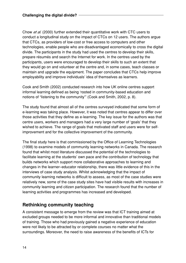Chow et al. (2000) further extended their quantitative work with CTC users to conduct a longitudinal study on the impact of CTCs on 12 users. The authors argue that CTCs, as providers of low-cost or free access to computers and other technologies, enable people who are disadvantaged economically to cross the digital divide. The participants in the study had used the centres to develop their skills, prepare résumés and search the Internet for work. In the centres used by the participants, users were encouraged to develop their skills to such an extent that they would go on and volunteer at the centre and, in some cases, teach classes or maintain and upgrade the equipment. The paper concludes that CTCs help improve employability and improve individuals' idea of themselves as learners.

Cook and Smith (2002) conducted research into how UK online centres support informal learning defined as being 'rooted in community-based education and notions of "listening to the community"' (Cook and Smith, 2002, p. 8).

The study found that almost all of the centres surveyed indicated that some form of e-learning was taking place. However, it was noted that centres appear to differ over those activities that they define as e-learning. The key issue for the authors was that centre users, workers and managers had a very large number of 'goals' that they wished to achieve. The range of goals that motivated staff and users were for selfimprovement and for the collective improvement of the community.

The final study here is that commissioned by the Office of Learning Technologies (1998) to examine models of community learning networks in Canada. The research found that whilst most literature discussed the potential of the technologies to facilitate learning at the students' own pace and the contribution of technology that builds networks which support more collaborative approaches to learning and changes in the learner–educator relationship, there was little evidence of this in the interviews of case study analysis. Whilst acknowledging that the impact of community learning networks is difficult to assess, as most of the case studies were relatively new, some of the case study sites have had visible results with increases in community learning and citizen participation. The research found that the number of learning activities and programmes has increased and developed.

### **Rethinking community teaching**

A consistent message to emerge from the review was that ICT training aimed at excluded groups needed to be more informal and innovative than traditional models of training. Those who had previously gained a negative experience of education were not likely to be attracted by or complete courses no matter what the surroundings. Moreover, the need to raise awareness of the benefits of ICTs for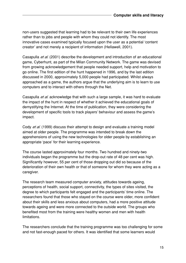non-users suggested that learning had to be relevant to their own life experiences rather than to jobs and people with whom they could not identify. The most innovative cases examined typically focused upon the user as a potential 'content creator' and not merely a recipient of information (Hellawell, 2001).

Casapulla *et al.* (2001) describe the development and introduction of an educational game, Cyberhunt, as part of the Milan Community Network. The game was devised from growing acknowledgement that people needed support, help and motivation to go online. The first edition of the hunt happened in 1996, and by the last edition discussed in 2000, approximately 5,000 people had participated. Whilst always approached as a game, the authors argue that the underlying aim is to learn to use computers and to interact with others through the Net.

Casapulla *et al.* acknowledge that with such a large sample, it was hard to evaluate the impact of the hunt in respect of whether it achieved the educational goals of demystifying the Internet. At the time of publication, they were considering the development of specific tools to track players' behaviour and assess the game's impact.

Cody *et al.* (1999) discuss their attempt to design and evaluate a training model aimed at older people. The programme was intended to break down the apprehensions of using the new technologies for older people by establishing an appropriate 'pace' for their learning experience.

The course lasted approximately four months. Two hundred and ninety-two individuals began the programme but the drop-out rate of 48 per cent was high. Significantly however, 55 per cent of those dropping out did so because of the deterioration of their own health or that of someone for whom they were acting as a caregiver.

The research team measured computer anxiety, attitudes towards ageing, perceptions of health, social support, connectivity, the types of sites visited, the degree to which participants felt engaged and the participants' time online. The researchers found that those who stayed on the course were older, more confident about their skills and less anxious about computers, had a more positive attitude towards ageing and were more connected to the outside world. The groups who benefited most from the training were healthy women and men with health limitations.

The researchers conclude that the training programme was too challenging for some and not fast-enough paced for others. It was identified that some learners would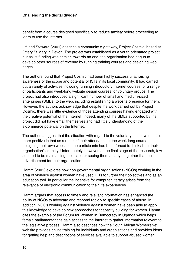benefit from a course designed specifically to reduce anxiety before proceeding to learn to use the Internet.

Liff and Steward (2001) describe a community e-gateway, Project Cosmic, based at Ottery St Mary in Devon. The project was established as a youth-orientated project but as its funding was coming towards an end, the organisation had begun to develop other sources of revenue by running training courses and designing web pages.

The authors found that Project Cosmic had been highly successful at raising awareness of the scope and potential of ICTs in its local community. It had carried out a variety of activities including running introductory Internet courses for a range of participants and week-long website design courses for voluntary groups. The project had also introduced a significant number of small and medium-sized enterprises (SMEs) to the web, including establishing a website presence for them. However, the authors acknowledge that despite the work carried out by Project Cosmic, there was little evidence of those attending courses having engaged with the creative potential of the Internet. Indeed, many of the SMEs supported by the project did not have email themselves and had little understanding of the e-commerce potential on the Internet.

The authors suggest that the situation with regard to the voluntary sector was a little more positive in that as a result of their attendance at the week-long course designing their own websites, the participants had been forced to think about their organisation's identity. Unfortunately, however, at the final stage of the research, few seemed to be maintaining their sites or seeing them as anything other than an advertisement for their organisation.

Hamm (2001) explores how non-governmental organisations (NGOs) working in the area of violence against women have used ICTs to further their objectives and as an education tool. In particular the incentive for computer literacy arises from the relevance of electronic communication to their life experiences.

Hamm argues that access to timely and relevant information has enhanced the ability of NGOs to advocate and respond rapidly to specific cases of abuse. In addition, NGOs working against violence against women have been able to apply this knowledge to develop new approaches for capacity building for women. Hamm cites the example of the Forum for Women in Democracy in Uganda which helps female parliamentarians gain access to the Internet to gather information relevant to the legislative process. Hamm also describes how the South African Women'sNet website provides online training for individuals and organisations and provides ideas for getting help and descriptions of services available to support abused women.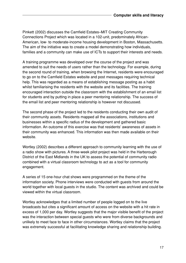Pinkett (2002) discusses the Camfield Estates–MIT Creating Community Connections Project which was located in a 102-unit, predominately African-American, low- to moderate-income housing development in Boston, Massachusetts. The aim of the initiative was to create a model demonstrating how individuals, families and a community can make use of ICTs to support their interests and needs.

A training programme was developed over the course of the project and was amended to suit the needs of users rather than the technology. For example, during the second round of training, when browsing the Internet, residents were encouraged to go on to the Camfield Estates website and post messages requiring technical help. This was regarded as a means of establishing message posting as a habit whilst familiarising the residents with the website and its facilities. The training encouraged interaction outside the classroom with the establishment of an email list for students and by putting in place a peer mentoring relationship. The success of the email list and peer mentoring relationship is however not discussed.

The second phase of the project led to the residents conducting their own audit of their community assets. Residents mapped all the associations, institutions and businesses within a specific radius of the development and gathered basic information. An outcome of this exercise was that residents' awareness of assets in their community was enhanced. This information was then made available on their website.

Wortley (2002) describes a different approach to community learning with the use of a radio show with pictures. A three-week pilot project was held in the Harborough District of the East Midlands in the UK to assess the potential of community radio combined with a virtual classroom technology to act as a tool for community engagement.

A series of 15 one-hour chat shows were programmed on the theme of the information society. Phone interviews were conducted with guests from around the world together with local guests in the studio. The content was archived and could be viewed within the virtual classroom.

Wortley acknowledges that a limited number of people logged on to the live broadcasts but cites a significant amount of access on the website with a hit rate in excess of 1,000 per day. Wortley suggests that the major visible benefit of the project was the interaction between special guests who were from diverse backgrounds and unlikely to meet face to face in other circumstances. Wortley claims that the project was extremely successful at facilitating knowledge sharing and relationship building.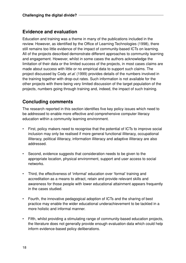#### **Evidence and evaluation**

Education and training was a theme in many of the publications included in the review. However, as identified by the Office of Learning Technologies (1998), there still remains too little evidence of the impact of community-based ICTs on learning. All of the projects described demonstrate different approaches to community learning and engagement. However, whilst in some cases the authors acknowledge the limitation of their data or the limited success of the projects, in most cases claims are made about success with little or no empirical data to support such claims. The project discussed by Cody et al. (1999) provides details of the numbers involved in the training together with drop-out rates. Such information is not available for the other projects with there being very limited discussion of the target population of the projects, numbers going through training and, indeed, the impact of such training.

### **Concluding comments**

The research reported in this section identifies five key policy issues which need to be addressed to enable more effective and comprehensive computer literacy education within a community learning environment.

- First, policy makers need to recognise that the potential of ICTs to improve social inclusion may only be realised if more general functional illiteracy, occupational illiteracy, political illiteracy, information illiteracy and adaptive illiteracy are also addressed.
- Second, evidence suggests that consideration needs to be given to the appropriate location, physical environment, support and user access to social networks.
- Third, the effectiveness of 'informal' education over 'formal' training and accreditation as a means to attract, retain and provide relevant skills and awareness for those people with lower educational attainment appears frequently in the cases studied.
- Fourth, the innovative pedagogical adoption of ICTs and the sharing of best practice may enable the wider educational underachievement to be tackled in a more holistic and informal manner.
- Fifth, whilst providing a stimulating range of community-based education projects, the literature does not generally provide enough evaluation data which could help inform evidence-based policy deliberations.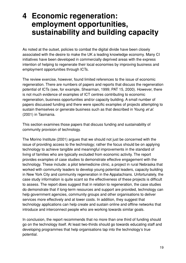## **4 Economic regeneration: employment opportunities, sustainability and building capacity**

As noted at the outset, policies to combat the digital divide have been closely associated with the desire to make the UK a leading knowledge economy. Many CI initiatives have been developed in commercially deprived areas with the express intention of helping to regenerate their local economies by improving business and employment opportunities through ICTs.

The review exercise, however, found limited references to the issue of economic regeneration. There are numbers of papers and reports that discuss the regeneration potential of ICTs (see, for example, Shearman, 1999; PAT 15, 2000). However, there is not much evidence of examples of ICT centres contributing to economic regeneration, business opportunities and/or capacity building. A small number of papers discussed funding and there were specific examples of projects attempting to sustain themselves or generate business such as that described in Young et al. (2001) in Tasmania.

This section examines those papers that discuss funding and sustainability of community provision of technology.

The Morino Institute (2001) argues that we should not just be concerned with the issue of providing access to the technology; rather the focus should be on applying technology to achieve tangible and meaningful improvements in the standard of living of families who are typically excluded from economic activity. The report provides examples of case studies to demonstrate effective engagement with the technology. These include: a pilot telemedicine clinic, a project in rural Nebraska that worked with community leaders to develop young potential leaders, capacity building in New York City and community regeneration in the Appalachians. Unfortunately, the case study information is quite scant so the effectiveness of these projects is difficult to assess. The report does suggest that in relation to regeneration, the case studies do demonstrate that if long-term resources and support are provided, technology can help government agencies, community groups and other organisations to deliver services more effectively and at lower costs. In addition, they suggest that technology applications can help create and sustain online and offline networks that introduce and interconnect people who are working towards similar goals.

In conclusion, the report recommends that no more than one third of funding should go on the technology itself. At least two-thirds should go towards educating staff and developing programmes that help organisations tap into the technology's true potential.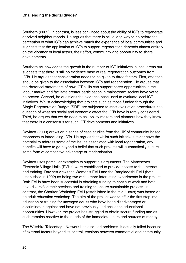Southern (2002), in contrast, is less convinced about the ability of ICTs to regenerate deprived neighbourhoods. He argues that there is still a long way to go before the perception of what ICTs can achieve match the experience of local communities and suggests that the application of ICTs to support regeneration depends almost entirely on the vibrancy of local actors, their effort, community and opportunity to share developments.

Southern acknowledges the growth in the number of ICT initiatives in local areas but suggests that there is still no evidence base of real regeneration outcomes from ICTs. He argues that consideration needs to be given to three factors. First, attention should be given to the association between ICTs and regeneration. He argues that the rhetorical statements of how ICT skills can support better opportunities in the labour market and facilitate greater participation in mainstream society have yet to be proved. Second, he questions the evidence base used to evaluate local ICT initiatives. Whilst acknowledging that projects such as those funded through the Single Regeneration Budget (SRB) are subjected to strict evaluation procedures, the question of what net social and economic effect the ICTs have is rarely considered. Third, he argues that we do need to ask policy makers and planners how they know that there is a consensus for such ICT developments and initiatives.

Davinett (2000) draws on a series of case studies from the UK of community-based responses to introducing ICTs. He argues that whilst such initiatives might have the potential to address some of the issues associated with local regeneration, any benefits will have to go beyond a belief that such projects will automatically secure some form of competitive advantage or modernisation.

Davinett uses particular examples to support his arguments. The Manchester Electronic Village Halls (EVHs) were established to provide access to the Internet and training. Davinett views the Women's EVH and the Bangladeshi EVH (both established in 1992) as being two of the more interesting experiments in the project. Both EVHs have been successful in obtaining funding to continue work and both have diversified their services and training to ensure sustainable projects. In contrast, the Chorlton Workshop EVH (established in the mid-1980s) was based on an adult education workshop. The aim of the project was to offer the first step into education or training for unwaged adults who have been disadvantaged or discriminated against and have not previously had access to educational opportunities. However, the project has struggled to obtain secure funding and as such remains reactive to the needs of the immediate users and sources of money.

The Wiltshire Telecottage Network has also had problems. It actually failed because of external factors beyond its control, tensions between commercial and community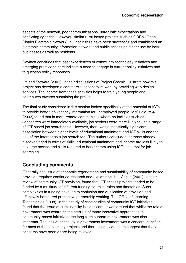aspects of the network, poor communications, unrealistic expectations and conflicting agendas. However, similar rural-based projects such as ODEN (Open District Electronic Network) in Lincolnshire have been successful and established an electronic community information network and public access points for use by local businesses as well as residents.

Davinett concludes that past experiences of community technology initiatives and emerging practice to date indicate a need to engage in current policy initiatives and to question policy responses.

Liff and Steward (2001), in their discussions of Project Cosmic, illustrate how this project has developed a commercial aspect to its work by providing web design services. The income from these activities helps to train young people and contributes towards sustaining the project.

The final study considered in this section looked specifically at the potential of ICTs to provide better job vacancy information for unemployed people. McQuaid et al. (2003) found that in more remote communities where no facilities such as Jobcentres were immediately available, job seekers were more likely to use a range of ICT-based job search tools. However, there was a statistically significant association between higher levels of educational attainment and ICT skills and the use of the Internet as a job search tool. The authors conclude that those already disadvantaged in terms of skills, educational attainment and income are less likely to have the access and skills required to benefit from using ICTs as a tool for job searching.

### **Concluding comments**

Generally, the issue of economic regeneration and sustainability of community-based provision requires continued research and exploration. Hall Aitken (2001), in their review of community ICT provision, found that ICT access projects tended to be funded by a multitude of different funding sources, rules and timetables. Such complexities in funding have led to confusion and duplication of provision and effectively hampered productive partnership working. The Office of Learning Technologies (1998), in their study of case studies of community ICT initiatives, found that the issue of sustainability is significant. It was argued that whilst the role of government was central to the start-up of many innovative approaches to community-based initiatives, the long-term support of government was also important. The lack of continuity in government investment was a concern identified for most of the case study projects and there is no evidence to suggest that these concerns have been or are being relieved.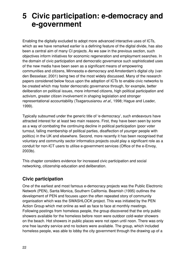## **5 Civic participation: e-democracy and e-government**

Enabling the digitally excluded to adopt more advanced interactive uses of ICTs, which as we have remarked earlier is a defining feature of the digital divide, has also been a central aim of many CI projects. As we saw in the previous section, such objectives inform initiatives for economic regeneration and employment searches. In the domain of civic participation and democratic governance such sophisticated uses of the new media have been seen as a significant means of empowering communities and citizens, Minnesota e-democracy and Amsterdam's digital city (van den Besselaar, 2001) being two of the most widely discussed. Many of the research papers considered below focus upon the adoption of ICTs to enable civic networks to be created which may foster democratic governance through, for example, better deliberation on political issues, more informed citizens, high political participation and activism, greater citizen involvement in shaping legislation and stronger representational accountability (Tsagarousianou et al., 1998; Hague and Loader, 1999).

Typically subsumed under the generic title of 'e-democracy', such endeavours have attracted interest for at least two main reasons. First, they have been seen by some as a way of combating the continuing decline in political participation (poor voter turnout, falling membership of political parties, disaffection of younger people with politics) in the UK and elsewhere. Second, more recently it has been recognised that voluntary and community sector informatics projects could play a significant role as a conduit for non-ICT users to utilise e-government services (Office of the e-Envoy, 2003b).

This chapter considers evidence for increased civic participation and social networking, citizenship education and deliberation.

## **Civic participation**

One of the earliest and most famous e-democracy projects was the Public Electronic Network (PEN), Santa Monica, Southern California. Beamish (1995) outlines the development of PEN and focuses upon the often repeated story of community organisation which was the SWASHLOCK project. This was initiated by the PEN Action Group which met online as well as face to face at monthly meetings. Following postings from homeless people, the group discovered that the only public showers available for the homeless before noon were outdoor cold-water showers on the beach. Hot showers in public places were not open until noon. There was only one free laundry service and no lockers were available. The group, which included homeless people, was able to lobby the city government through the drawing up of a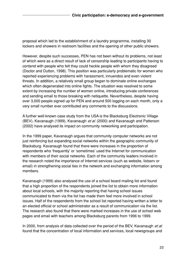proposal which led to the establishment of a laundry programme, installing 30 lockers and showers in restroom facilities and the opening of other public showers.

However, despite such successes, PEN has not been without its problems, not least of which were as a direct result of lack of censorship leading to participants having to contend with people who felt they could heckle people with whom they disagreed (Doctor and Dutton, 1998). This position was particularly problematic for women who reported experiencing problems with harassment, innuendos and even violent threats. In addition, a relatively small group began to dominate online exchanges which often degenerated into online fights. The situation was resolved to some extent by increasing the number of women online, introducing private conferences and sending email to those breaking with netiquette. Nevertheless, despite having over 3,000 people signed up for PEN and around 500 logging on each month, only a very small number ever contributed any comments to the discussions.

A further well-known case study from the USA is the Blacksburg Electronic Village (BEV). Kavanaugh (1999), Kavanaugh et al. (2000) and Kavanaugh and Patterson (2002) have analysed its impact on community networking and participation.

In the 1999 paper, Kavanaugh argues that community computer networks are not just reinforcing but expanding social networks within the geographic community of Blacksburg. Kavanaugh found that there were increases in the proportion of respondents who 'frequently' or 'sometimes' used the Internet for communication with members of their social networks. Each of the community leaders involved in the research noted the importance of Internet services (such as website, listserv or email) in strengthening social ties in the network and exchanging information among members.

Kavanaugh (1999) also analysed the use of a school board mailing list and found that a high proportion of the respondents joined the list to obtain more information about local schools, with the majority reporting that having school issues communicated to them via the list has made them feel more involved in school issues. Half of the respondents from the school list reported having written a letter to an elected official or school administrator as a result of communication via the list. The research also found that there were marked increases in the use of school web pages and email with teachers among Blacksburg parents from 1996 to 1999.

In 2000, from analysis of data collected over the period of the BEV, Kavanaugh et al. found that the concentration of local information and services, local newsgroups and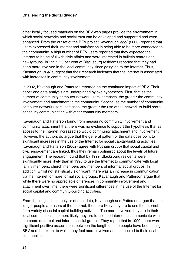other locally focused materials on the BEV web pages provide the environment in which social networks and social trust can be developed and supported and even enhanced. From the outset of the BEV project Kavanaugh et al. (2000) reported that users expressed their interest and satisfaction in being able to be more connected to their community. A high number of BEV users reported that they expected the Internet to be helpful with civic affairs and were interested in bulletin boards and newsgroups. In 1997, 28 per cent of Blacksburg residents reported that they had been more involved in the local community since going on to the Internet. Thus, Kavanaugh et al. suggest that their research indicates that the Internet is associated with increases in community involvement.

In 2002, Kavanaugh and Patterson reported on the continued impact of BEV. Their paper and data analysis are underpinned by two hypotheses. First, that as the number of community computer network users increases, the greater the community involvement and attachment to the community. Second, as the number of community computer network users increases, the greater the use of the network to build social capital by communicating with other community members.

Kavanaugh and Patterson found from measuring community involvement and community attachment that there was no evidence to support the hypothesis that as access to the Internet increased so would community attachment and involvement. However, the authors do argue that the general pattern of the data does point to significant increases in the use of the Internet for social capital-building activities. Kavanaugh and Patterson (2002) agree with Putnam (2000) that social capital and civic engagement are linked, thus they remain optimistic about the levels of future engagement. The research found that by 1999, Blacksburg residents were significantly more likely than in 1996 to use the Internet to communicate with local family members, church members and members of informal social groups. In addition, whilst not statistically significant, there was an increase in communication via the Internet for more formal social groups. Kavanaugh and Patterson argue that while there were no appreciable differences in community involvement and attachment over time, there were significant differences in the use of the Internet for social capital and community-building activities.

From the longitudinal analysis of their data, Kavanaugh and Patterson argue that the longer people are users of the Internet, the more likely they are to use the Internet for a variety of social capital-building activities. The more involved they are in their local communities, the more likely they are to use the Internet to communicate with members of formal and informal social groups. They report that in 1999, there were significant positive associations between the length of time people have been using BEV and the extent to which they feel more involved and connected to their local communities.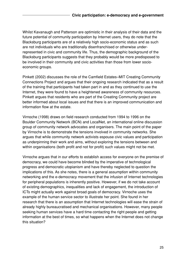Whilst Kavanaugh and Patterson are optimistic in their analysis of their data and the future potential of community participation by Internet users, they do note that the Blacksburg participants are of a relatively high socio-economic status and as such are not individuals who are traditionally disenfranchised or otherwise underrepresented in civic and community life. Thus, the demographic background of the Blacksburg participants suggests that they probably would be more predisposed to be involved in their community and civic activities than those from lower socioeconomic groups.

Pinkett (2002) discusses the role of the Camfield Estates–MIT Creating Community Connections Project and argues that their ongoing research indicated that as a result of the training that participants had taken part in and as they continued to use the Internet, they were found to have a heightened awareness of community resources. Pinkett argues that residents who are part of the Creating Community project are better informed about local issues and that there is an improved communication and information flow at the estate.

Virnoche (1998) draws on field research conducted from 1994 to 1996 on the Boulder Community Network (BCN) and LocalNet, an international online discussion group of community network advocates and organisers. The main point of the paper by Virnoche is to demonstrate the tensions involved in community networks. She argues that while community network activists espouse civic values and participation as underpinning their work and aims, without exploring the tensions between and within organisations (both profit and not for profit) such values might not be met.

Virnoche argues that in our efforts to establish access for everyone on the premise of democracy, we could have become blinded by the imperative of technological progress and democratic utopianism and have thereby neglected to question the implications of this. As she notes, there is a general assumption within community networking and the e-democracy movement that the infusion of Internet technologies for peripheral populations is inherently positive. However, if we do not take account of existing demographics, inequalities and lack of engagement, the introduction of ICTs might actually work against broad goals of democracy. Virnoche uses the example of the human service sector to illustrate her point. She found in her research that there is an assumption that Internet technologies will ease the strain of already highly bureaucratised and mechanical organisations. However, many people seeking human services have a hard time contacting the right people and getting information at the best of times, so what happens when the Internet does not change this situation?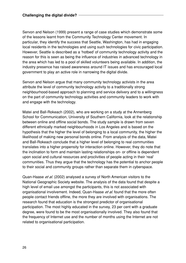Servon and Nelson (1999) present a range of case studies which demonstrate some of the lessons learnt from the Community Technology Center movement. In particular, they identify the success that Seattle, Washington, has had in engaging local residents in the technologies and using such technologies for civic participation. However, Seattle is described as a 'hotbed' of community technology activity and the reason for this is seen as being the influence of industries in advanced technology in the area which has led to a pool of skilled volunteers being available. In addition, the industry presence has raised awareness around IT issues and has encouraged local government to play an active role in narrowing the digital divide.

Servon and Nelson argue that many community technology activists in the area attribute the level of community technology activity to a traditionally strong neighbourhood-based approach to planning and service delivery and to a willingness on the part of community technology activities and community leaders to work with and engage with the technology.

Matei and Ball-Rokeach (2002), who are working on a study at the Annenberg School for Communication, University of Southern California, look at the relationship between online and offline social bonds. The study sample is drawn from seven different ethnically marked neighbourhoods in Los Angeles and is based on the hypothesis that the higher the level of belonging to a local community, the higher the likelihood of making new personal bonds online. From analysis of the data, Matei and Ball-Rokeach conclude that a higher level of belonging to real communities translates into a higher propensity for interaction online. However, they do note that the inclination to form and maintain lasting relationships on- or offline is dependent upon social and cultural resources and proclivities of people acting in their 'real' communities. Thus they argue that the technology has the potential to anchor people to their social and community groups rather than separate them in cyberspace.

Quan-Haase et al. (2002) analysed a survey of North American visitors to the National Geographic Society website. The analysis of the data found that despite a high level of email use amongst the participants, this is not associated with organisational involvement. Indeed, Quan-Haase et al. found that the more often people contact friends offline, the more they are involved with organisations. The research found that education is the strongest predictor of organisational participation. The most highly educated in the survey, 23 per cent with a graduate degree, were found to be the most organisationally involved. They also found that the frequency of Internet use and the number of months using the Internet are not related to organisational participation.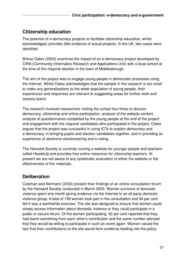## **Citizenship education**

The potential of e-democracy projects to facilitate citizenship education, whilst acknowledged, provides little evidence of actual projects. In the UK, two cases were identified.

Briony Oates (2003) examines the impact of an e-democracy project developed by CIRA (Community Informatics Research and Applications Unit) with a local school at the time of the mayoral election in the town of Middlesbrough.

The aim of the project was to engage young people in democratic processes using the Internet. Whilst Oates acknowledges that the sample in the research is too small to make any generalisations to the wider population of young people, their experiences and responses are relevant to suggesting areas for further work and lessons learnt.

The research involved researchers visiting the school four times to discuss democracy, citizenship and online participation, analysis of the website content, analysis of questionnaires completed by the young people at the end of the project and engagement with the mayoral candidates who participated in the project. Oates argues that the project was successful in using ICTs to explain democracy and e-democracy, in bringing pupils and election candidates together, and in providing an experience of electronic electioneering and e-voting.

The Hansard Society is currently running a website for younger people and teachers called HeadsUp and provides free online resources for citizenship teachers. At present we are not aware of any systematic evaluation of either the website or the effectiveness of the materials.

## **Deliberation**

Coleman and Normann (2000) present their findings of an online consultation forum by the Hansard Society conducted in March 2000. Women survivors of domestic violence spent one month giving evidence via the Internet to an all-party domestic violence group. A total of 199 women took part in the consultation and 94 per cent felt it was a worthwhile exercise. The site was designed to ensure that women could simply access information about domestic violence or they could participate in a public or secure forum. Of the women participating, 92 per cent reported that they had learnt something from each other's contribution and the same number advised that they would be willing to participate in such an event again. Women valued the fact that their contributions to the site would form evidence feeding into the policy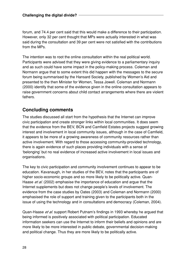forum, and 74.4 per cent said that this would make a difference to their participation. However, only 32 per cent thought that MPs were actually interested in what was said during the consultation and 39 per cent were not satisfied with the contributions from the MPs.

The intention was to root the online consultation within the real political world. Participants were advised that they were giving evidence to a parliamentary inquiry and as such could have some impact in the policy-making process. Coleman and Normann argue that to some extent this did happen with the messages to the secure forum being summarised by the Hansard Society, published by Women's Aid and presented to the then Minister for Women, Tessa Jowell. Coleman and Normann (2000) identify that some of the evidence given in the online consultation appears to raise government concerns about child contact arrangements where there are violent fathers.

### **Concluding comments**

The studies discussed all start from the hypothesis that the Internet can improve civic participation and create stronger links within local communities. It does seem that the evidence from the BEV, BCN and Camfield Estates projects suggest growing interest and involvement in local community issues, although in the case of Camfield, it appears to be more of a growing awareness of community resources rather than active involvement. With regard to those accessing community-provided technology, there is again evidence of such places providing individuals with a sense of 'belonging' but no real evidence of increased active involvement in local issues and organisations.

The key to civic participation and community involvement continues to appear to be education. Kavanaugh, in her studies of the BEV, notes that the participants are of higher socio-economic groups and so more likely to be politically active. Quan-Haase et al. (2002) emphasise the importance of education and argue that the Internet supplements but does not change people's levels of involvement. The evidence from the case studies by Oates (2003) and Coleman and Normann (2000) emphasised the role of support and training given to the participants both in the issue of using the technology and in consultations and democracy (Coleman, 2004).

Quan-Haase et al. support Robert Putnam's findings in 1993 whereby he argued that being informed is positively associated with political participation. Educated information seekers can use the Internet to inform their beliefs and opinions and are more likely to be more interested in public debate, governmental decision-making and political change. Thus they are more likely to be politically active.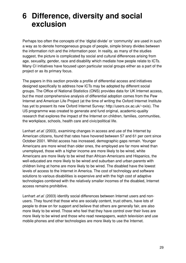# **6 Difference, diversity and social exclusion**

Perhaps too often the concepts of the 'digital divide' or 'community' are used in such a way as to denote homogeneous groups of people, simple binary divides between the information rich and the information poor. In reality, as many of the studies suggest, the picture is complicated by social and cultural differences arising from age, sexuality, gender, race and disability which mediate how people relate to ICTs. Many CI initiatives have focused upon particular social groups either as a part of the project or as its primary focus.

The papers in this section provide a profile of differential access and initiatives designed specifically to address how ICTs may be adopted by different social groups. The Office of National Statistics (ONS) provides data for UK Internet access, but the most comprehensive analysis of differential adoption comes from the Pew Internet and American Life Project (at the time of writing the Oxford Internet Institute has yet to present its new Oxford Internet Survey: http://users.ox.ac.uk/~oxis). The US programme was created to generate and fund original, academic-quality research that explores the impact of the Internet on children, families, communities, the workplace, schools, health care and civic/political life.

Lenhart *et al.* (2003), examining changes in access and use of the Internet by American citizens, found that rates have hovered between 57 and 61 per cent since October 2001. Whilst access has increased, demographic gaps remain. Younger Americans are more wired than older ones, the employed are far more wired than unemployed, those with a higher income are more likely to be wired, white Americans are more likely to be wired than African-Americans and Hispanics, the well-educated are more likely to be wired and suburban and urban parents with children living at home are more likely to be wired. The disabled have the lowest levels of access to the Internet in America. The cost of technology and software solutions to various disabilities is expensive and with the high cost of adaptive technologies combined with the relatively smaller incomes of the disabled, Internet access remains prohibitive.

Lenhart et al. (2003) identify social differences between Internet users and nonusers. They found that those who are socially content, trust others, have lots of people to draw on for support and believe that others are generally fair, are also more likely to be wired. Those who feel that they have control over their lives are more likely to be wired and those who read newspapers, watch television and use mobile phones and other technologies are more likely to use the Internet.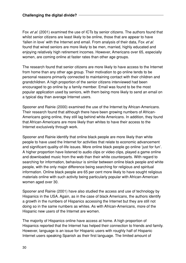Fox et al. (2001) examined the use of ICTs by senior citizens. The authors found that whilst senior citizens are least likely to be online, those that are appear to have 'fallen in love' with the Internet and email. From analysis of their data, Fox et al. found that wired seniors are more likely to be men, married, highly educated and enjoying relatively high retirement incomes. However, Americans over 65, especially women, are coming online at faster rates than other age groups.

The research found that senior citizens are more likely to have access to the Internet from home than any other age group. Their motivation to go online tends to be personal reasons primarily connected to maintaining contact with their children and grandchildren. A high proportion of the senior citizens interviewed had been encouraged to go online by a family member. Email was found to be the most popular application used by seniors, with them being more likely to send an email on a typical day than average Internet users.

Spooner and Rainie (2000) examined the use of the Internet by African-Americans. Their research found that although there have been growing numbers of African-Americans going online, they still lag behind white Americans. In addition, they found that African-Americans are more likely than whites to have their access to the Internet exclusively through work.

Spooner and Rainie identify that online black people are more likely than white people to have used the Internet for activities that relate to economic advancement and significant quality-of-life issues. More online black people go online 'just for fun'. A higher proportion have listened to audio clips or video clips, played a game online and downloaded music from the web than their white counterparts. With regard to searching for information, behaviour is similar between online black people and white people, with the only major difference being searching for religious and spiritual information. Online black people are 65 per cent more likely to have sought religious materials online with such activity being particularly popular with African-American women aged over 30.

Spooner and Rainie (2001) have also studied the access and use of technology by Hispanics in the USA. Again, as in the case of black Americans, the authors identify a growth in the numbers of Hispanics accessing the Internet but they are still not doing so in the same numbers as whites. As with African-Americans, more of the Hispanic new users of the Internet are women.

The majority of Hispanics online have access at home. A high proportion of Hispanics reported that the Internet has helped their connection to friends and family. However, language is an issue for Hispanic users with roughly half of Hispanic Internet users speaking Spanish as their first language. The limited amount of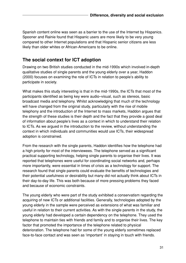Spanish content online was seen as a barrier to the use of the Internet by Hispanics. Spooner and Rainie found that Hispanic users are more likely to be very young compared to other Internet populations and that Hispanic senior citizens are less likely than older whites or African-Americans to be online.

#### **The social context for ICT adoption**

Drawing on two British studies conducted in the mid-1990s which involved in-depth qualitative studies of single parents and the young elderly over a year, Haddon (2000) focuses on examining the role of ICTs in relation to people's ability to participate in society.

What makes this study interesting is that in the mid-1990s, the ICTs that most of the participants identified as being key were audio–visual, such as stereos, basic broadcast media and telephony. Whilst acknowledging that much of the technology will have changed from the original study, particularly with the rise of mobile telephony and the introduction of the Internet to mass markets, Haddon argues that the strength of these studies is their depth and the fact that they provide a good deal of information about people's lives as a context in which to understand their relation to ICTs. As we argued in the introduction to the review, without understanding the context in which individuals and communities would use ICTs, their widespread adoption is constrained.

From the research with the single parents, Haddon identifies how the telephone had a high priority for most of the interviewees. The telephone served as a significant practical supporting technology, helping single parents to organise their lives. It was reported that telephones were useful for coordinating social networks and, perhaps more importantly, were essential in times of crisis as a technology for support. The research found that single parents could evaluate the benefits of technologies and their potential usefulness or desirability but many did not actually think about ICTs in their day-to-day life. This was both because of more pressing problems they faced and because of economic constraints.

The young elderly who were part of the study exhibited a conservatism regarding the acquiring of new ICTs or additional facilities. Generally, technologies adopted by the young elderly in the sample were perceived as extensions of what was familiar and useful in relation to their current activities. As with the single parents in the study, the young elderly had developed a certain dependency on the telephone. They used the telephone to maintain ties with friends and family and to organise their lives. The key factor that promoted the importance of the telephone related to physical deterioration. The telephone had for some of the young elderly sometimes replaced face-to-face contact and was seen as 'important' in staying in touch with friends.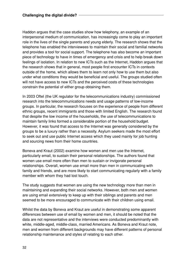Haddon argues that the case studies show how telephony, an example of an interpersonal medium of communication, has increasingly come to play an important role in the lives of the single parents and young elderly. The research shows that the telephone has enabled the interviewees to maintain their social and familial networks and provides a tool for social support. The telephone has also become an important piece of technology to have in times of emergency and crisis and to help break down feelings of isolation. In relation to new ICTs such as the Internet, Haddon argues that the research shows that in general, most people first encounter ICTs in contexts outside of the home, which allows them to learn not only how to use them but also under what conditions they would be beneficial and useful. The groups studied often will not have access to new ICTs and the perceived costs of these technologies constrain the potential of either group obtaining them.

In 2003 Oftel (the UK regulator for the telecommunications industry) commissioned research into the telecommunications needs and usage patterns of low-income groups. In particular, the research focuses on the experience of people from different ethnic groups, recent immigrants and those with limited English. The research found that despite the low income of the households, the use of telecommunications to maintain family links formed a considerable portion of the household budget. However, it was found that access to the Internet was generally considered by the groups to be a luxury rather than a necessity. Asylum seekers made the most effort to seek out and use public Internet access which they used mainly for job hunting and sourcing news from their home countries.

Boneva and Kraut (2002) examine how women and men use the Internet, particularly email, to sustain their personal relationships. The authors found that women use email more often than men to sustain or invigorate personal relationships. Overall, women use email more than men in communicating with family and friends, and are more likely to start communicating regularly with a family member with whom they had lost touch.

The study suggests that women are using the new technology more than men in maintaining and expanding their social networks. However, both men and women are using email extensively to keep up with their siblings and parents and men seemed to be more encouraged to communicate with their children using email.

Whilst the data by Boneva and Kraut are useful in demonstrating some apparent differences between use of email by women and men, it should be noted that the data are not representative and the interviews were conducted predominantly with white, middle-aged, middle-class, married Americans. As Boneva and Kraut note, men and women from different backgrounds may have different patterns of personal relationship maintenance and styles of relating to each other.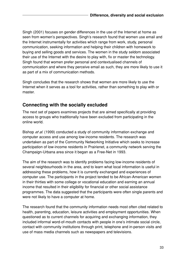Singh (2001) focuses on gender differences in the use of the Internet at home as seen from women's perspectives. Singh's research found that women use email and the Internet instrumentally for activities which range from work, study, personal communication, seeking information and helping their children with homework to buying and selling goods and services. The women in the study seldom associated their use of the Internet with the desire to play with, fix or master the technology. Singh found that women prefer personal and contextualised channels of communication and where they perceive email as such, they are more likely to use it as part of a mix of communication methods.

Singh concludes that the research shows that women are more likely to use the Internet when it serves as a tool for activities, rather than something to play with or master.

### **Connecting with the socially excluded**

The next set of papers examines projects that are aimed specifically at providing access to groups who traditionally have been excluded from participating in the online world.

Bishop *et al.* (1999) conducted a study of community information exchange and computer access and use among low-income residents. The research was undertaken as part of the Community Networking Initiative which seeks to increase participation of low-income residents in Prairienet, a community network serving the Champaign-Urbana area since it began as a Free-Net in 1993.

The aim of the research was to identify problems facing low-income residents of several neighbourhoods in the area, and to learn what local information is useful in addressing these problems, how it is currently exchanged and experiences of computer use. The participants in the project tended to be African-American women in their thirties with some college or vocational education and earning an annual income that resulted in their eligibility for financial or other social assistance programmes. The data suggested that the participants were often single parents and were not likely to have a computer at home.

The research found that the community information needs most often cited related to health, parenting, education, leisure activities and employment opportunities. When questioned as to current channels for acquiring and exchanging information, they included informal word-of-mouth contacts with people in one's intimate social circle, contact with community institutions through print, telephone and in-person visits and use of mass media channels such as newspapers and televisions.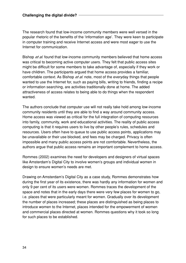The research found that low-income community members were well versed in the popular rhetoric of the benefits of the 'information age'. They were keen to participate in computer training and receive Internet access and were most eager to use the Internet for communication.

Bishop et al. found that low-income community members believed that home access was critical to becoming active computer users. They felt that public access sites might be difficult for some members to take advantage of, especially if they work or have children. The participants argued that home access provides a familiar, comfortable context. As Bishop et al. note, most of the everyday things that people wanted to use the Internet for, such as paying bills, writing to friends, finding a recipe or information searching, are activities traditionally done at home. The added attractiveness of access relates to being able to do things when the respondent wanted.

The authors conclude that computer use will not really take hold among low-income community residents until they are able to find a way around community access. Home access was viewed as critical for the full integration of computing resources into family, community, work and educational activities. The reality of public access computing is that it requires users to live by other people's rules, schedules and resources. Users often have to queue to use public access points, applications may be unavailable or their use blocked, and fees may be charged. Privacy is often impossible and many public access points are not comfortable. Nevertheless, the authors argue that public access remains an important complement to home access.

Rommes (2002) examines the need for developers and designers of virtual spaces like Amsterdam's Digital City to involve women's groups and individual women in design to ensure women's needs are met.

Drawing on Amsterdam's Digital City as a case study, Rommes demonstrates how during the first year of its existence, there was hardly any information for women and only 9 per cent of its users were women. Rommes traces the development of the space and notes that in the early days there were very few places for women to go, i.e. places that were particularly meant for women. Gradually over its development the number of places increased; these places are distinguished as being places to introduce women to the Internet, places intended for the empowerment of women and commercial places directed at women. Rommes questions why it took so long for such places to be established.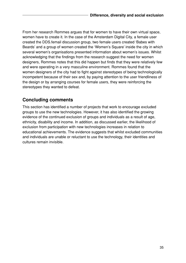From her research Rommes argues that for women to have their own virtual space, women have to create it. In the case of the Amsterdam Digital City, a female user created the DDS.femail discussion group, two female users created 'Babes with Beards' and a group of women created the 'Women's Square' inside the city in which several women's organisations presented information about women's issues. Whilst acknowledging that the findings from the research suggest the need for women designers, Rommes notes that this did happen but finds that they were relatively few and were operating in a very masculine environment. Rommes found that the women designers of the city had to fight against stereotypes of being technologically incompetent because of their sex and, by paying attention to the user friendliness of the design or by arranging courses for female users, they were reinforcing the stereotypes they wanted to defeat.

### **Concluding comments**

This section has identified a number of projects that work to encourage excluded groups to use the new technologies. However, it has also identified the growing evidence of the continued exclusion of groups and individuals as a result of age, ethnicity, disability and income. In addition, as discussed earlier, the likelihood of exclusion from participation with new technologies increases in relation to educational achievements. The evidence suggests that whilst excluded communities and individuals are unable or reluctant to use the technology, their identities and cultures remain invisible.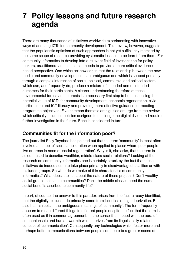# **7 Policy lessons and future research agenda**

There are many thousands of initiatives worldwide experimenting with innovative ways of adopting ICTs for community development. This review, however, suggests that the popularistic optimism of such approaches is not yet sufficiently matched by the same scope of research providing systematic lessons to be learnt from them. For community informatics to develop into a relevant field of investigation for policy makers, practitioners and scholars, it needs to provide a more critical evidencebased perspective. One which acknowledges that the relationship between the new media and community development is an ambiguous one which is shaped primarily through a complex interaction of social, political, commercial and political factors which can, and frequently do, produce a mixture of intended and unintended outcomes for their participants. A clearer understanding therefore of these environmental forces and interests is a necessary first step to both assessing the potential value of ICTs for community development, economic regeneration, civic participation and ICT literacy and providing more effective guidance for meeting programme objectives. Five common thematic ambiguities emerge from the review which critically influence policies designed to challenge the digital divide and require further investigation in the future. Each is considered in turn:

## **Communities fit for the information poor?**

The journalist Polly Toynbee has pointed out that the term 'community' is most often invoked as a tool of social amelioration when applied to places where poor people live or areas in need of 'social regeneration'. Why is it, she asks, that the term is seldom used to describe wealthier, middle-class social relations? Looking at the research on community informatics one is certainly struck by the fact that these initiatives do indeed seem to take place primarily in disadvantaged localities or with excluded groups. So what do we make of this characteristic of community informatics? What does it tell us about the nature of these projects? Don't wealthy social groups constitute communities? Don't the middle classes need the same social benefits ascribed to community life?

In part, of course, the answer to this paradox arises from the fact, already identified, that the digitally excluded do primarily come from localities of high deprivation. But it also has its roots in the ambiguous meanings of 'community'. The term frequently appears to mean different things to different people despite the fact that the term is often used as if in common agreement. In one sense it is imbued with the aura of companionship and human warmth which derives from its linguistically related concept of 'communication'. Consequently any technologies which foster more and perhaps better communications between people contribute to a greater sense of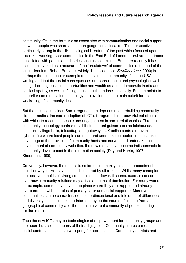community. Often the term is also associated with communication and social support between people who share a common geographical location. This perspective is particularly strong in the UK sociological literature of the past which focused upon close-knit working-class communities in the East End of London, rural areas or those associated with particular industries such as coal mining. But more recently it has also been invoked as a measure of the 'breakdown' of communities at the end of the last millennium. Robert Putnam's widely discussed book **Bowling Alone** (2000) is perhaps the most popular example of the claim that community life in the USA is waning and that the social consequences are poorer health and psychological wellbeing, declining business opportunities and wealth creation, democratic inertia and political apathy, as well as falling educational standards. Ironically, Putnam points to an earlier communication technology – television – as the main culprit for this weakening of community ties.

But the message is clear. Social regeneration depends upon rebuilding community life. Informatics, the social adoption of ICTs, is regarded as a powerful set of tools with which to reconnect people and engage them in social relationships. Through community technology centres (in all their different guises such as telehouses, electronic village halls, telecottages, e-gateways, UK online centres or even cybercafés) where local people can meet and undertake computer courses, take advantage of the provision of community hosts and servers and undertake the development of community websites, the new media have become indispensable to community development in the information society (Day and Harris, 1997; Shearman, 1999).

Conversely, however, the optimistic notion of community life as an embodiment of the ideal way to live may not itself be shared by all citizens. Whilst many champion the positive benefits of strong communities, far fewer, it seems, express concerns over how community relations may act as a means of domination. For many women, for example, community may be the place where they are trapped and already overburdened with the roles of primary carer and social supporter. Moreover, communities can be characterised as one-dimensional and intolerant of differences and diversity. In this context the Internet may be the source of escape from a geographical community and liberation in a virtual community of people sharing similar interests.

Thus the new ICTs may be technologies of empowerment for community groups and members but also the means of their subjugation. Community can be a means of social control as much as a wellspring for social capital. Community activists and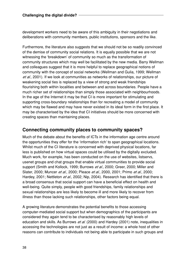development workers need to be aware of this ambiguity in their negotiations and deliberations with community members, public institutions, sponsors and the like.

Furthermore, the literature also suggests that we should not be so readily convinced of the demise of community social relations. It is equally possible that we are not witnessing the 'breakdown' of community so much as the transformation of community structures which may well be facilitated by the new media. Barry Wellman and colleagues suggest that it is more helpful to replace geographical notions of community with the concept of social networks (Wellman and Gulia, 1999; Wellman et al., 2001). If we look at communities as networks of relationships, our picture of weakening social ties is replaced by a view of strong and weak friendships flourishing both within localities and between and across boundaries. People have a much richer set of relationships than simply those associated with neighbourhoods. In the age of the Internet it may be that CI is more important for stimulating and supporting cross-boundary relationships than for recreating a model of community which may be flawed and may have never existed in its ideal form in the first place. It may be characterised by the idea that CI initiatives should be more concerned with creating spaces than maintaining places.

### **Connecting community places to community spaces?**

Much of the debate about the benefits of ICTs in the information age centre around the opportunities they offer for the 'information rich' to span geographical locations. Whilst much of the CI literature is concerned with deprived physical locations, far less is published on how virtual spaces could be utilised by the digitally excluded. Much work, for example, has been conducted on the use of websites, listservs, usenet groups and chat groups that enable virtual communities to provide social support (Smith and Kollock, 1999; Burrows et al., 2000; Greer, 2000; Miller and Slater, 2000; Muncer et al., 2000; Pleace et al., 2000, 2001; Primo et al., 2000; Hardey, 2001; Nettleton et al., 2002; Nip, 2004). Research has identified that there is a broad consensus that social support can have a beneficial effect on health and well-being. Quite simply, people with good friendships, family relationships and sexual relationships are less likely to become ill and more likely to recover from illness than those lacking such relationships, other factors being equal.

A growing literature demonstrates the potential benefits to those accessing computer-mediated social support but when demographics of the participants are considered they again tend to be characterised by reasonably high levels of education and skills. As Burrows et al. (2000) and Hardey (2001) note, inequalities in accessing the technologies are not just as a result of income: a whole host of other reasons can contribute to individuals not being able to participate in such groups and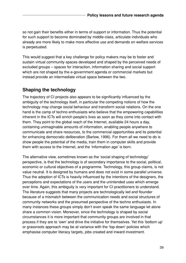so not gain their benefits either in terms of support or information. Thus the potential for such support to become dominated by middle-class, articulate individuals who already are more likely to make more effective use and demands on welfare services is perpetuated.

This would suggest that a key challenge for policy makers may be to foster and sustain virtual community spaces developed and shaped by the perceived needs of excluded groups – spaces for interaction, information sharing and social support which are not shaped by the e-government agenda or commercial markets but instead provide an intermediate virtual space between the two.

### **Shaping the technology**

The trajectory of CI projects also appears to be significantly influenced by the ambiguity of the technology itself, in particular the competing notions of how the technology may change social behaviour and transform social relations. On the one hand is the camp of techno enthusiasts who believe that the empowering capabilities inherent in the ICTs will enrich people's lives as soon as they come into contact with them. They point to the global reach of the Internet, available 24 hours a day, containing unimaginable amounts of information, enabling people anywhere to communicate and share resources, to the commercial opportunities and its potential for enhancing democratic deliberation (Barlow, 1996). For them all we need to do is show people the potential of the media, train them in computer skills and provide them with access to the Internet, and the 'information age' is born.

The alternative view, sometimes known as the 'social shaping of technology' perspective, is that the technology is of secondary importance to the social, political, economic or cultural objectives of a programme. Technology, this group claims, is not value neutral. It is designed by humans and does not exist in some parallel universe. Thus the adoption of ICTs is heavily influenced by the intentions of the designers, the perceptions and expectations of the users and the unintended uses which emerge over time. Again, this ambiguity is very important for CI practitioners to understand. The literature suggests that many projects are technologically led and flounder because of a mismatch between the communication needs and social structures of community networks and the presumed perspective of the techno enthusiasts. In many instances these groups simply don't even speak the same language let alone share a common vision. Moreover, since the technology is shaped by social circumstances it is more important that community groups are involved in that process if they are to 'own' and drive the initiative for themselves. Yet this 'bottom up' or grassroots approach may be at variance with the 'top down' policies which emphasise computer literacy targets, jobs created and inward investment.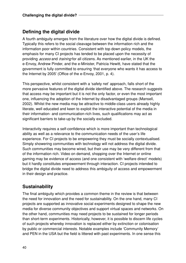### **Defining the digital divide**

A fourth ambiguity emerges from the literature over how the digital divide is defined. Typically this refers to the social cleavage between the information rich and the information poor within countries. Consistent with top down policy models, the emphasis for many CI projects has tended to be placed upon the necessity of providing *access* and *training* for all citizens. As mentioned earlier, in the UK the e-Envoy, Andrew Pinder, and the e-Minister, Patricia Hewitt, have stated that the government is fully committed to ensuring 'that everyone who wants it has access to the Internet by 2005' (Office of the e-Envoy, 2001, p. 4).

This perspective, whilst consistent with a 'safety net' approach, falls short of the more pervasive features of the digital divide identified above. The research suggests that access may be important but it is not the only factor, or even the most important one, influencing the adoption of the Internet by disadvantaged groups (Mansell, 2002). Whilst the new media may be attractive to middle-class users already highly literate, well educated and keen to exploit the interactive potential of the media in their information- and communication-rich lives, such qualifications may act as significant barriers to take-up by the socially excluded.

Interactivity requires a self-confidence which is more important than technological ability as well as a relevance to the communication needs of the user's life experience. For CI projects to be empowering they must be socially contextualised. Simply showering communities with technology will not address the digital divide. Such communities may become wired, but their use may be very different from that of the information rich. Video on demand, shopping over the Internet or online gaming may be evidence of access (and one consistent with 'welfare direct' models) but it hardly constitutes empowerment through interaction. CI projects intended to bridge the digital divide need to address this ambiguity of access and empowerment in their design and practice.

### **Sustainability**

The final ambiguity which provides a common theme in the review is that between the need for innovation and the need for sustainability. On the one hand, many CI projects are supported as innovative social experiments designed to shape the new media for diverse community objectives and support virtual spaces and networks. On the other hand, communities may need projects to be sustained for longer periods than short-term experiments. Historically, however, it is possible to discern life cycles of such projects whereby innovation is replaced either by extinction or colonisation by public or commercial interests. Notable examples include 'Community Memory' and PEN in the USA but the field is littered with past experiments. In one sense this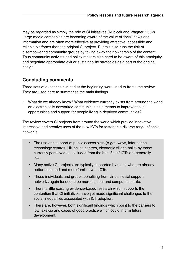may be regarded as simply the role of CI initiatives (Kubicek and Wagner, 2002). Large media companies are becoming aware of the value of 'local' news and information and are often more effective at providing attractive, accessible and reliable platforms than the original CI project. But this also runs the risk of disempowering community groups by taking away their ownership of the content. Thus community activists and policy makers also need to be aware of this ambiguity and negotiate appropriate exit or sustainability strategies as a part of the original design.

### **Concluding comments**

Three sets of questions outlined at the beginning were used to frame the review. They are used here to summarise the main findings.

• What do we already know? What evidence currently exists from around the world on electronically networked communities as a means to improve the life opportunities and support for people living in deprived communities?

The review covers CI projects from around the world which provide innovative, impressive and creative uses of the new ICTs for fostering a diverse range of social networks.

- The use and support of public access sites (e-gateways, information technology centres, UK online centres, electronic village halls) by those currently perceived as excluded from the benefits of ICTs are generally low.
- Many active CI projects are typically supported by those who are already better educated and more familiar with ICTs.
- Those individuals and groups benefiting from virtual social support networks again tended to be more affluent and computer literate.
- There is little existing evidence-based research which supports the contention that CI initiatives have yet made significant challenges to the social inequalities associated with ICT adoption.
- There are, however, both significant findings which point to the barriers to low take-up and cases of good practice which could inform future development.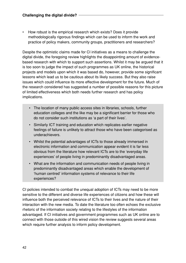• How robust is the empirical research which exists? Does it provide methodologically rigorous findings which can be used to inform the work and practice of policy makers, community groups, practitioners and researchers?

Despite the optimistic claims made for CI initiatives as a means to challenge the digital divide, the foregoing review highlights the disappointing amount of evidencebased research with which to support such assertions. Whilst it may be argued that it is too soon to judge the impact of such programmes as UK online, the historical projects and models upon which it was based do, however, provide some significant lessons which lead us to be cautious about its likely success. But they also raise issues which could influence its more effective development for the future. Much of the research considered has suggested a number of possible reasons for this picture of limited effectiveness which both needs further research and has policy implications.

- The location of many public access sites in libraries, schools, further education colleges and the like may be a significant barrier for those who do not consider such institutions as 'a part of their lives'.
- Similarly ICT training and education which replicates earlier negative feelings of failure is unlikely to attract those who have been categorised as underachievers.
- Whilst the potential advantages of ICTs to those already immersed in electronic information and communication appear evident it is far less obvious from the literature how relevant ICTs are to the 'everyday life experiences' of people living in predominantly disadvantaged areas.
- What are the information and communication needs of people living in predominantly disadvantaged areas which enable the development of 'human centred' information systems of relevance to their life experiences?

CI policies intended to combat the unequal adoption of ICTs may need to be more sensitive to the different and diverse life experiences of citizens and how these will influence both the perceived relevance of ICTs to their lives and the nature of their interaction with the new media. To date the literature too often echoes the exclusive rhetoric of the information society relating to the lifestyles of the information advantaged. If CI initiatives and government programmes such as UK online are to connect with those outside of this wired vision the review suggests several areas which require further analysis to inform policy development.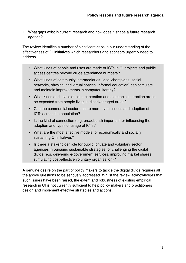• What gaps exist in current research and how does it shape a future research agenda?

The review identifies a number of significant gaps in our understanding of the effectiveness of CI initiatives which researchers and sponsors urgently need to address.

- What kinds of people and uses are made of ICTs in CI projects and public access centres beyond crude attendance numbers?
- What kinds of community intermediaries (local champions, social networks, physical and virtual spaces, informal education) can stimulate and maintain improvements in computer literacy?
- What kinds and levels of content creation and electronic interaction are to be expected from people living in disadvantaged areas?
- Can the commercial sector ensure more even access and adoption of ICTs across the population?
- Is the kind of connection (e.g. broadband) important for influencing the adoption and types of usage of ICTs?
- What are the most effective models for economically and socially sustaining CI initiatives?
- Is there a stakeholder role for public, private and voluntary sector agencies in pursuing sustainable strategies for challenging the digital divide (e.g. delivering e-government services, improving market shares, stimulating cost-effective voluntary organisation)?

A genuine desire on the part of policy makers to tackle the digital divide requires all the above questions to be seriously addressed. Whilst the review acknowledges that such issues have been raised, the extent and robustness of existing empirical research in CI is not currently sufficient to help policy makers and practitioners design and implement effective strategies and actions.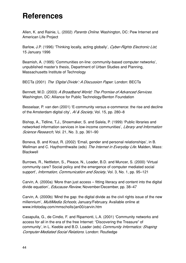# **References**

Allen, K. and Rainie, L. (2002) Parents Online. Washington, DC: Pew Internet and American Life Project

Barlow, J.P. (1996) 'Thinking locally, acting globally', *Cyber-Rights Electronic List*, 15 January 1996

Beamish, A. (1995) 'Communities on-line: community-based computer networks', unpublished master's thesis, Department of Urban Studies and Planning, Massachusetts Institute of Technology

BECTa (2001) The 'Digital Divide': A Discussion Paper. London: BECTa

Bennett, M.D. (2003) A Broadband World: The Promise of Advanced Services. Washington, DC: Alliance for Public Technology/Benton Foundation

Besselaar, P. van den (2001) 'E-community versus e-commerce: the rise and decline of the Amsterdam digital city', A/ & Society, Vol. 15, pp. 280-8

Bishop, A., Tidline, T.J., Shoemaker, S. and Salela, P. (1999) 'Public libraries and networked information services in low-income communities', Library and Information Science Research, Vol. 21, No. 3, pp. 361-90

Boneva, B. and Kraut, R. (2002) 'Email, gender and personal relationships', in B. Wellman and C. Haythornthwaite (eds) The Internet in Everyday Life. Malden, Mass: Blackwell

Burrows, R., Nettleton, S., Pleace, N., Loader, B.D. and Muncer, S. (2000) 'Virtual community care? Social policy and the emergence of computer mediated social support', Information, Communication and Society, Vol. 3, No. 1, pp. 95-121

Carvin, A. (2000a) 'More than just access – fitting literacy and content into the digital divide equation', *Educause Review*, November/December, pp. 38-47

Carvin, A. (2000b) 'Mind the gap: the digital divide as the civil rights issue of the new millennium', MultiMedia Schools, January/February. Available online at www.infotoday.com/mmscholls/jan00/carvin.htm

Casapulla, G., de Cindio, F. and Ripamonti, L.A. (2001) 'Community networks and access for all in the era of the free Internet: "Discovering the Treasure" of community', in L. Keeble and B.D. Loader (eds) Community Informatics: Shaping Computer-Mediated Social Relations. London: Routledge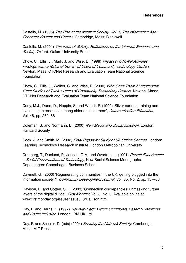Castells, M. (1996) The Rise of the Network Society, Vol. 1, The Information Age: Economy, Society and Culture. Cambridge, Mass: Blackwell

Castells, M. (2001) The Internet Galaxy: Reflections on the Internet, Business and Society. Oxford: Oxford University Press

Chow, C., Ellis, J., Mark, J. and Wise, B. (1998) Impact of CTCNet Affiliates: Findings from a National Survey of Users of Community Technology Centers. Newton, Mass: CTCNet Research and Evaluation Team National Science Foundation

Chow, C., Ellis, J., Walker, G. and Wise, B. (2000) Who Goes There? Longitudinal Case Studies of Twelve Users of Community Technology Centers. Newton, Mass: CTCNet Research and Evaluation Team National Science Foundation

Cody, M.J., Dunn, D., Hoppin, S. and Wendt, P. (1999) 'Silver surfers: training and evaluating Internet use among older adult learners', Communication Education, Vol. 48, pp. 269–86

Coleman, S. and Normann, E. (2000) New Media and Social Inclusion. London: Hansard Society

Cook, J. and Smith, M. (2002) Final Report for Study of UK Online Centres. London: Learning Technology Research Institute, London Metropolitan University

Cronberg, T., Duelund, P., Jensen, O.M. and Qvortrup, L. (1991) Danish Experiments – Social Constructions of Technology, New Social Science Monographs. Copenhagen: Copenhagen Business School

Davinett, G. (2000) 'Regenerating communities in the UK: getting plugged into the information society?', *Community Development Journal*, Vol. 35, No. 2, pp. 157-66

Davison, E. and Cotten, S.R. (2003) 'Connection discrepancies: unmasking further layers of the digital divide', *First Monday*, Vol. 8, No. 3. Available online at www.firstmonday.org/issues/issue8\_3/Davison.html

Day, P. and Harris, K. (1997) *Down-to-Earth Vision: Community Based IT Initiatives* and Social Inclusion. London: IBM UK Ltd

Day, P. and Schuler, D. (eds) (2004) Shaping the Network Society. Cambridge, Mass: MIT Press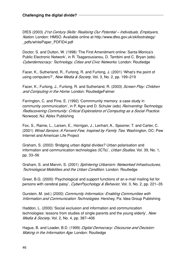DfES (2003) 21st Century Skills: Realising Our Potential – Individuals, Employers, Nation. London: HMSO. Available online at http://www.dfes.gov.uk/skillsstrategy/ \_pdfs/whitePaper\_PDFID4.pdf

Doctor, S. and Dutton, W. (1998) 'The First Amendment online: Santa Monica's Public Electronic Network', in R. Tsagarousianou, D. Tambini and C. Bryan (eds) Cyberdemocracy: Technology, Cities and Civic Networks. London: Routledge

Facer, K., Sutherland, R., Furlong, R. and Furlong, J. (2001) 'What's the point of using computers?', New Media & Society, Vol. 3, No. 2, pp. 199–219

Facer, K., Furlong, J., Furlong, R. and Sutherland, R. (2003) Screen Play: Children and Computing in the Home. London: RoutledgeFalmer

Farrington, C. and Pine, E. (1992) 'Commmunity memory: a case study in community communication', in P. Agre and D. Schuler (eds) *Reinventing Technology*, Rediscovering Community: Critical Explorations of Computing as a Social Practice. Norwood, NJ: Ablex Publishing

Fox, S., Rainie, L., Larsen, E., Horrigan, J., Lenhart, A., Spooner, T. and Carter, C. (2001) Wired Seniors: A Fervent Few, Inspired by Family Ties. Washington, DC: Pew Internet and American Life Project

Graham, S. (2002) 'Bridging urban digital divides? Urban polarisation and information and communication technologies (ICTs)', Urban Studies, Vol. 39, No. 1, pp. 33–56

Graham, S. and Marvin, S. (2001) Splintering Urbanism: Networked Infrastructures, Technological Mobilities and the Urban Condition. London: Routledge

Greer, B.G. (2000) 'Psychological and support functions of an e-mail mailing list for persons with cerebral palsy', CyberPsychology & Behavior, Vol. 3, No. 2, pp. 221–35

Gurstein, M. (ed.) (2000) Community Informatics: Enabling Communities with Information and Communication Technologies. Hershey, Pa: Idea Group Publishing

Haddon, L. (2000) 'Social exclusion and information and communication technologies: lessons from studies of single parents and the young elderly', New Media & Society, Vol. 2, No. 4, pp. 387-406

Hague, B. and Loader, B.D. (1999) Digital Democracy: Discourse and Decision-Making in the Information Age. London: Routledge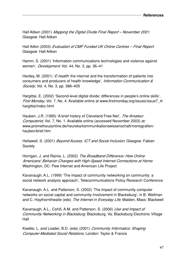Hall Aitken (2001) Mapping the Digital Divide Final Report - November 2001. Glasgow: Hall Aitken

Hall Aitkin (2003) Evaluation of CMF Funded UK Online Centres – Final Report. Glasgow: Hall Aitken

Hamm, S. (2001) 'Information communications technologies and violence against women', Development, Vol. 44, No. 3, pp. 36-41

Hardey, M. (2001) '*E-health*: the internet and the transformation of patients into consumers and producers of health knowledge', Information Communication & Society, Vol. 4, No. 3, pp. 388-405

Hargittai, E. (2002) 'Second-level digital divide: differences in people's online skills', First Monday, Vol. 7, No. 4. Available online at www.firstmonday.org/issues/issue7 4/ hargittai/index.html

Hauben, J.R. (1995) 'A brief history of Cleveland Free-Net', The Amateur Computerist, Vol. 7, No. 1. Available online (accessed November 2003) at: www.prometheusonline.de/heureka/kommunikationswissenschaft/monografien/ hauben/brief.htm

Hellawell, S. (2001) *Beyond Access: ICT and Social Inclusion*. Glasgow: Fabian **Society** 

Horrigan, J. and Rainie, L. (2002) The Broadband Difference: How Online Americans' Behavior Changes with High-Speed Internet Connections at Home. Washington, DC: Pew Internet and American Life Project

Kavanaugh, A.L. (1999) 'The impact of community networking on community: a social network analysis approach', Telecommunications Policy Research Conference

Kavanaugh, A.L. and Patterson, S. (2002) 'The impact of community computer networks on social capital and community involvement in Blacksburg', in B. Wellman and C. Haythornthwaite (eds) The Internet in Everyday Life. Malden, Mass: Blackwell

Kavanaugh, A.L., Cohill, A.M. and Patterson, S. (2000) Use and Impact of Community Networking in Blacksburg. Blacksburg, Va: Blacksburg Electronic Village Hall

Keeble, L. and Loader, B.D. (eds) (2001) Community Informatics: Shaping Computer-Mediated Social Relations. London: Taylor & Francis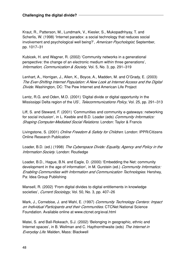Kraut, R., Patterson, M., Lundmark, V., Kiesler, S., Mukopadhhyay, T. and Scherlis, W. (1998) 'Internet paradox: a social technology that reduces social involvement and psychological well being?', American Psychologist, September, pp. 1017–31

Kubicek, H. and Wagner, R. (2002) 'Community networks in a generational perspective: the change of an electronic medium within three generations', Information, Communication & Society, Vol. 5, No. 3, pp. 291-319

Lenhart, A., Horrigan, J., Allen, K., Boyce, A., Madden, M. and O'Grady, E. (2003) The Ever-Shifting Internet Population: A New Look at Internet Access and the Digital Divide. Washington, DC: The Pew Internet and American Life Project

Lentz, R.G. and Oden, M.D. (2001) 'Digital divide or digital opportunity in the Mississippi Delta region of the US', Telecommunications Policy, Vol. 25, pp. 291-313

Liff, S. and Steward, F. (2001) 'Communities and community e-gateways: networking for social inclusion', in L. Keeble and B.D. Loader (eds) Community Informatics: Shaping Computer-Mediated Social Relations. London: Taylor & Francis

Livingstone, S. (2001) Online Freedom & Safety for Children. London: IPPR/Citizens Online Research Publication

Loader, B.D. (ed.) (1998) The Cyberspace Divide: Equality, Agency and Policy in the Information Society. London: Routledge

Loader, B.D., Hague, B.N. and Eagle, D. (2000) 'Embedding the Net: community development in the age of information', in M. Gurstein (ed.) Community Informatics: Enabling Communities with Information and Communication Technologies. Hershey, Pa: Idea Group Publishing

Mansell, R. (2002) 'From digital divides to digital entitlements in knowledge societies', Current Sociology, Vol. 50, No. 3, pp. 407-26

Mark, J., Cornebise, J. and Wahl, E. (1997) Community Technology Centers: Impact on Individual Participants and their Communities. CTCNet National Science Foundation. Available online at www.ctcnet.org/eval.html

Matei, S. and Ball-Rokeach, S.J. (2002) 'Belonging in geographic, ethnic and Internet spaces', in B. Wellman and C. Haythornthwaite (eds) The Internet in Everyday Life. Malden, Mass: Blackwell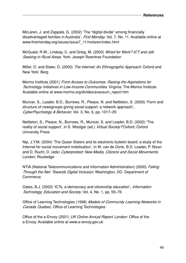McLaren, J. and Zappalà, G. (2002) 'The "digital divide" among financially disadvantaged families in Australia', First Monday, Vol. 7, No. 11. Available online at www.firstmonday.org/issues/issue7\_11/mclaren/index.html

McQuaid, R.W., Lindsay, C. and Greig, M. (2003) Wired for Work? ICT and Job Seeking in Rural Areas. York: Joseph Rowntree Foundation

Miller, D. and Slater, D. (2000) The Internet: An Ethnographic Approach. Oxford and New York: Berg

Morino Institute (2001) From Access to Outcomes: Raising the Aspirations for Technology Initiatives in Low-Income Communities. Virginia: The Morino Institute. Available online at www.morino.org/divides/execsum\_report.htm

Muncer, S., Loader, B.D., Burrows, R., Pleace, N. and Nettleton, S. (2000) 'Form and structure of newsgroups giving social support: a network approach', CyberPsychology & Behavior, Vol. 3, No. 6, pp. 1017–29

Nettleton, S., Pleace, N., Burrows, R., Muncer, S. and Loader, B.D. (2002) 'The reality of social support', in S. Woolgar (ed.) Virtual Society? Oxford: Oxford University Press

Nip, J.Y.M. (2004) 'The Queer Sisters and its electronic bulletin board: a study of the Internet for social movement mobilisation', in W. van de Donk, B.D. Loader, P. Nixon and D. Rucht, D. (eds) Cyberprotest: New Media, Citizens and Social Movements. London: Routledge

NTIA (National Telecommunications and Information Administration) (2000) Falling Through the Net: Towards Digital Inclusion. Washington, DC: Department of **Commerce** 

Oates, B.J. (2003) 'ICTs, e-democracy and citizenship education', *Information* Technology, Education and Society, Vol. 4, No. 1, pp. 55–76

Office of Learning Technologies (1998) Models of Community Learning Networks in Canada. Quebec: Office of Learning Technologies

Office of the e-Envoy (2001) UK Online Annual Report. London: Office of the e-Envoy. Available online at www.e-envoy.gov.uk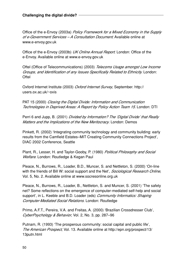Office of the e-Envoy (2003a) Policy Framework for a Mixed Economy in the Supply of e-Government Services - A Consultation Document. Available online at www.e-envoy.gov.uk

Office of the e-Envoy (2003b) UK Online Annual Report. London: Office of the e-Envoy. Available online at www.e-envoy.gov.uk

Oftel (Office of Telecommunications) (2003) Telecoms Usage amongst Low Income Groups, and Identification of any Issues Specifically Related to Ethnicity. London: **Oftel** 

Oxford Internet Institute (2003) Oxford Internet Survey, September. http:// users.ox.ac.uk/~oxis

PAT 15 (2000) Closing the Digital Divide: Information and Communication Technologies in Deprived Areas: A Report by Policy Action Team 15. London: DTI

Perri 6 and Jupp, B. (2001) Divided by Information? The 'Digital Divide' that Really Matters and the Implications of the New Meritocracy. London: Demos

Pinkett, R. (2002) 'Integrating community technology and community building: early results from the Camfield Estates–MIT Creating Community Connections Project', DIAC 2002 Conference, Seattle

Plant, R., Lesser, H. and Taylor-Gooby, P. (1980) Political Philosophy and Social Welfare. London: Routledge & Kegan Paul

Pleace, N., Burrows, R., Loader, B.D., Muncer, S. and Nettleton, S. (2000) 'On-line with the friends of Bill W: social support and the Net', Sociological Research Online, Vol. 5, No. 2. Available online at www.socresonline.org.uk

Pleace, N., Burrows, R., Loader, B., Nettleton, S. and Muncer, S. (2001) 'The safety net? Some reflections on the emergence of computer-mediated self-help and social support', in L. Keeble and B.D. Loader (eds) Community Informatics: Shaping Computer-Mediated Social Relations. London: Routledge

Primo, A.F.T., Pereira, V.A. and Freitas, A. (2000) 'Brazilian Crossdresser Club', CyberPsychology & Behavior, Vol. 2, No. 3, pp. 287–96

Putnam, R. (1993) 'The prosperous community: social capital and public life', The American Prospect, Vol. 13. Available online at http://epn.org/prospect/13/ 13putn.html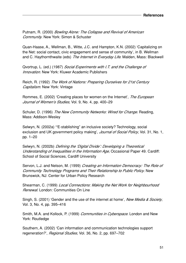Putnam, R. (2000) Bowling Alone: The Collapse and Revival of American Community. New York: Simon & Schuster

Quan-Haase, A., Wellman, B., Witte, J.C. and Hampton, K.N. (2002) 'Capitalizing on the Net: social contact, civic engagement and sense of community', in B. Wellman and C. Haythornthwaite (eds) The Internet in Everyday Life. Malden, Mass: Blackwell

Qvortrup, L. (ed.) (1987) Social Experiments with I.T. and the Challenge of **Innovation. New York: Kluwer Academic Publishers** 

Reich, R. (1992) The Work of Nations: Preparing Ourselves for 21st Century Capitalism. New York: Vintage

Rommes, E. (2002) 'Creating places for women on the Internet', The European Journal of Women's Studies, Vol. 9, No. 4, pp. 400-29

Schuler, D. (1996) The New Community Networks: Wired for Change. Reading, Mass: Addison-Wesley

Selwyn, N. (2002a) '"E-stablishing" an inclusive society? Technology, social exclusion and UK government policy making', *Journal of Social Policy*, Vol. 31, No. 1, pp. 1–20

Selwyn, N. (2002b) Defining the 'Digital Divide': Developing a Theoretical Understanding of Inequalities in the Information Age, Occasional Paper 49. Cardiff: School of Social Sciences, Cardiff University

Servon, L.J. and Nelson, M. (1999) Creating an Information Democracy: The Role of Community Technology Programs and Their Relationship to Public Policy. New Brunswick, NJ: Center for Urban Policy Research

Shearman, C. (1999) Local Connections: Making the Net Work for Neighbourhood Renewal. London: Communities On Line

Singh, S. (2001) 'Gender and the use of the internet at home', New Media & Society. Vol. 3, No. 4, pp. 395–416

Smith, M.A. and Kollock, P. (1999) Communities in Cyberspace. London and New York: Routledge

Southern, A. (2002) 'Can information and communication technologies support regeneration?', Regional Studies, Vol. 36, No. 2, pp. 697-702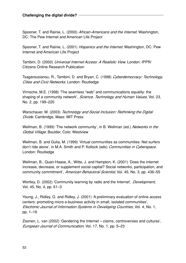Spooner, T. and Rainie, L. (2000) African-Americans and the Internet. Washington, DC: The Pew Internet and American Life Project

Spooner, T. and Rainie, L. (2001) Hispanics and the Internet. Washington, DC: Pew Internet and American Life Project

Tambini, D. (2000) Universal Internet Access: A Realistic View. London: IPPR/ Citizens Online Research Publication

Tsagarousianou, R., Tambini, D. and Bryan, C. (1998) Cyberdemocracy: Technology, Cities and Civic Networks. London: Routledge

Virnoche, M.E. (1998) 'The seamless "web" and communications equality: the shaping of a community network', Science, Technology and Human Values, Vol. 23, No. 2, pp. 199–220

Warschauer, M. (2003) Technology and Social Inclusion: Rethinking the Digital Divide. Cambridge, Mass: MIT Press

Wellman, B. (1999) 'The network community', in B. Wellman (ed.) Networks in the Global Village. Boulder, Colo: Westview

Wellman, B. and Gulia, M. (1999) 'Virtual communities as communities: Net surfers don't ride alone', in M.A. Smith and P. Kollock (eds) Communities in Cyberspace. London: Routledge

Wellman, B., Quan-Haase, A., Witte, J. and Hampton, K. (2001) 'Does the internet increase, decrease, or supplement social capital? Social networks, participation, and community commitment', American Behavioral Scientist, Vol. 45, No. 3, pp. 436-55

Wortley, D. (2002) 'Community learning by radio and the Internet', Development, Vol. 45, No. 4, pp. 61–3

Young, J., Ridley, G. and Ridley, J. (2001) 'A preliminary evaluation of online access centers: promoting micro e-business activity in small, isolated communities', Electronic Journal of Information Systems in Developing Countries, Vol. 4, No. 1, pp. 1–16

Zoonen, L. van (2002) 'Gendering the Internet – claims, controversies and cultures', European Journal of Communication, Vol. 17, No. 1, pp. 5–23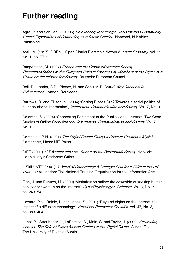# **Further reading**

Agre, P. and Schuler, D. (1996) Reinventing Technology, Rediscovering Community: Critical Explorations of Computing as a Social Practice. Norwood, NJ: Ablex Publishing

Astill, M. (1997) 'ODEN – Open District Electronic Network'. Local Economy, Vol. 12, No. 1, pp. 77–9

Bangemann, M. (1994) Europe and the Global Information Society: Recommendations to the European Council Prepared by Members of the High Level Group on the Information Society. Brussels: European Council

Bell, D., Loader, B.D., Pleace, N. and Schuler, D. (2003) Key Concepts in Cyberculture. London: Routledge

Burrows, R. and Ellison, N. (2004) 'Sorting Places Out? Towards a social politics of neighbourhood information', *Information, Communication and Society*, Vol. 7, No. 3

Coleman, S. (2004) 'Connecting Parliament to the Public via the Internet: Two Case Studies of Online Consultations, *Information, Communication and Society*, Vol. 7, No. 1

Compaine, B.N. (2001) The Digital Divide: Facing a Crisis or Creating a Myth? Cambridge, Mass: MIT Press

DfEE (2001) ICT Access and Use. Report on the Benchmark Survey. Norwich: Her Majesty's Stationery Office

e-Skills NTO (2001) A World of Opportunity: A Strategic Plan for e-Skills in the UK, 2000–2004. London: The National Training Organisation for the Information Age

Finn, J. and Banach, M. (2000) 'Victimization online: the downside of seeking human services for women on the Internet', CyberPsychology & Behavior, Vol. 3, No. 2, pp. 243–54

Howard, P.N., Rainie, L. and Jones, S. (2001) 'Day and nights on the Internet: the impact of a diffusing technology', American Behavioral Scientist, Vol. 43, No. 3, pp. 383–404

Lentz, B., Straubhaar, J., LaPastina, A., Main, S. and Taylor, J. (2000) Structuring Access: The Role of Public Access Centers in the 'Digital Divide'. Austin, Tex: The University of Texas at Austin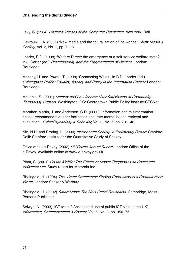Levy, S. (1984) Hackers: Heroes of the Computer Revolution. New York: Dell

Lievrouw, L.A. (2001) 'New media and the "pluralization of life-worlds"', New Media & Society, Vol. 3, No. 1, pp. 7-28

Loader, B.D. (1998) 'Welfare Direct: the emergence of a self-service welfare state?', in J. Carter (ed.) Postmodernity and the Fragmentation of Welfare. London: Routledge

Mackay, H. and Powell, T. (1998) 'Connecting Wales', in B.D. Loader (ed.) Cyberspace Divide: Equality, Agency and Policy in the Information Society. London: Routledge

McLanie, S. (2001) Minority and Low-Income User Satisfaction at Community Technology Centers. Washington, DC: Georgetown Public Policy Institute/CTCNet

Morahan-Martin, J. and Anderson, C.D. (2000) 'Information and misinformation online: recommendations for facilitating accurate mental health retrieval and evaluation', CyberPsychology & Behavior, Vol. 3, No. 5, pp. 731-46

Nie, N.H. and Erbring, L. (2000) Internet and Society: A Preliminary Report. Stanford, Calif: Stanford Institute for the Quantitative Study of Society

Office of the e-Envoy (2002) UK Online Annual Report. London: Office of the e-Envoy. Available online at www.e-envoy.gov.uk

Plant, S. (2001) On the Mobile: The Effects of Mobile Telephones on Social and Individual Life. Study report for Motorola Inc.

Rheingold, H. (1994) The Virtual Community: Finding Connection in a Computerised World. London: Secker & Warburg

Rheingold, H. (2002) Smart Mobs: The Next Social Revolution. Cambridge, Mass: Perseus Publishing

Selwyn, N. (2003) 'ICT for all? Access and use of public ICT sites in the UK', Information, Communication & Society, Vol. 6, No. 3, pp. 350-75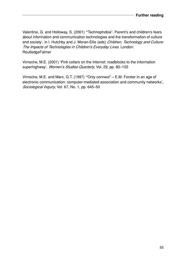Valentine, G. and Holloway, S. (2001) '"Technophobia". Parent's and children's fears about information and communication technologies and the transformation of culture and society', in I. Hutchby and J. Moran-Ellis (eds) Children, Technology and Culture: The Impacts of Technologies in Children's Everyday Lives. London: RoutledgeFalmer

Virnoche, M.E. (2001) 'Pink collars on the Internet: roadblocks to the information superhighway', Women's Studies Quarterly, Vol. 29, pp. 80-102

Virnoche, M.E. and Marx, G.T. (1997) '"Only connect" – E.M. Forster in an age of electronic communication: computer-mediated association and community networks', Sociological Inquiry, Vol. 67, No. 1, pp. 645–50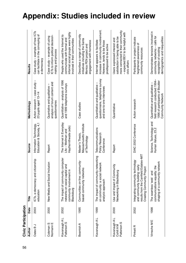| Civic Participation                        |      |                                                                                                                                          |                                                                         |                                                                                                                        |                                                                                                                                                             |
|--------------------------------------------|------|------------------------------------------------------------------------------------------------------------------------------------------|-------------------------------------------------------------------------|------------------------------------------------------------------------------------------------------------------------|-------------------------------------------------------------------------------------------------------------------------------------------------------------|
| Author                                     | Date | Title                                                                                                                                    | Source                                                                  | Methodology                                                                                                            | Results                                                                                                                                                     |
| っ<br>Oates B                               | 2003 | enship<br>ICTs, e-democracy and citiz<br>education                                                                                       | Education & Society, 4,1<br>Information Technology,                     | T<br>case study<br>23 pupils aged 13-14<br>Action research                                                             | Case study - example of how ICTs<br>can facilitate in the conveying of<br>e-democracy                                                                       |
| Coleman S<br>Normann E                     | 2000 | New Media and Social Inclusion                                                                                                           | Report                                                                  | analysis of forum content and<br>Quantative and qualitative<br>questionnaires                                          | ICTs to inform political decision-<br>Case study - example of using<br>making and process                                                                   |
| Kavanaugh A L<br>Patterson S               | 2002 | The impact of community computer<br>networks on social capital and<br>community involvement in<br>Blacksburg                             | The Internet in Everyday<br>Haythornthwaite (eds)<br>Life - Wellman and | Quantitative - analysis of 1996<br>and 1999 telephone surveys                                                          | informal social groups were highly<br>People who used the Internet to<br>communicate with formal and<br>involved in their communities                       |
| Beamish A                                  | 1995 | Communities on-line: community-<br>based community networks                                                                              | Massachusetts Institute<br>Master's Thesis,<br>of Technology            | Case studies                                                                                                           | Describes a range of community<br>initiatives including the Santa<br>engagement with homeless<br>Monica PEN project and                                     |
| Kavanaugh A L                              | 1999 | The impact of community networking<br>on community: a social network<br>analysis approach                                                | Telecommunications<br>Policy Research<br>Conference                     | questionnaire, telephone survey<br>Quantitative and qualitative<br>and one-to-one interviews                           | increase in community involvement.<br>Internet appears to facilitate<br>However, tends to be those<br>predisposed to be active                              |
| Kavanaugh A L<br>Patterson S<br>Cohill A M | 2000 | hity<br>Use and Impact of Commun<br>Networking in Blacksburg                                                                             | Report                                                                  | Quantitative                                                                                                           | more connected to their community<br>- expected BEV to be helpful with<br>satisfaction in being able to be<br>Users expressed interest and<br>civic affairs |
| Pinkett <sub>R</sub>                       | 2002 | results from the Camfield Estates-MIT<br>Integrating community technology<br>and community building: early<br>Creating Community Project | DIAC 2002 Conference                                                    | Action research                                                                                                        | Participants in project indicate<br>heightened awareness of<br>community resources                                                                          |
| Virnoche ME                                | 1998 | shaping of a community network<br>$\overline{\mathbf{v}}$<br>communications equality: th<br>and<br>The seamless 'web'                    | Science, Technology and<br>Human Values, 23,2                           | field research conducted 1994-<br>1996 of participants of Boulder<br>Quantitative and qualitative<br>Community Network | Demonstrates tensions involved in<br>calls for<br>demographics and inequalities<br>community networks -<br>recognition of existing                          |

# **Appendix: Studies included in review**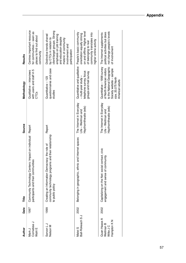| Author                                                | Date | Title                                                                                                                      | Source                                                                  | Methodology                                                                                                                                                 | Results                                                                                                                                                                                               |
|-------------------------------------------------------|------|----------------------------------------------------------------------------------------------------------------------------|-------------------------------------------------------------------------|-------------------------------------------------------------------------------------------------------------------------------------------------------------|-------------------------------------------------------------------------------------------------------------------------------------------------------------------------------------------------------|
| Cornebise<br>Wahl E<br>Mark J                         | 1997 | Community Technology Centers: Impact on individual Report<br>participants and their communities                            |                                                                         | with users and staff in 5<br>Qualitative - interviews<br>CTCs                                                                                               | Centres important resource<br>for communities - seen as<br>places to find out about<br>community                                                                                                      |
| Servon L J<br>Nelson M                                | 1999 | community technology programs and their relationship<br>Creating an Information Democracy: the role of<br>to public policy | Report                                                                  | questionnaires and case<br>Quantitative - 123<br>studies                                                                                                    | client/target groups. Strong<br>Distinctive trends shared<br>emphasis on job training<br>and education despite<br>by CTCs in relation to<br>rhetoric of community<br>involvement and<br>participation |
| Ball-Rokeach SJ<br>Matei S                            | 2002 | ethnic and Internet spaces<br>Belonging in geographic,                                                                     | The Internet in Everyday<br>Haythornthwaite (eds)<br>Life - Wellman and | Quantitative and qualitative<br>telephone survey, focus<br>groups and mail survey<br>- multi-year study -                                                   | on and offline. Higher level<br>People's basic community<br>community translates into<br>orientation equally strong<br>higher online activity<br>of belonging to real                                 |
| Quan-Haase A<br>Hampton K N<br>Wellman B<br>Witte J C | 2002 | Capitalizing on the Net: social contact, civic<br>community<br>engagement and sense of                                     | The Internet in Everyday<br>Haythornthwaite (eds)<br>Life - Wellman and | to the National Geographic<br>Quantitative - 1998 survey<br>of North American visitors<br>Society website - sample<br>size, 20,075 North<br>American adults | not change people's levels<br>political activities but does<br>The Internet supplements<br>of involvement                                                                                             |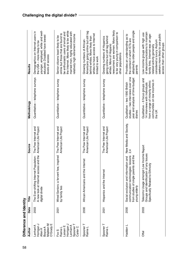| Difference and Identity                                                         |             |                                                                                                                                        |                                               |                                                                                                                                                  |                                                                                                                                                                                                                                          |
|---------------------------------------------------------------------------------|-------------|----------------------------------------------------------------------------------------------------------------------------------------|-----------------------------------------------|--------------------------------------------------------------------------------------------------------------------------------------------------|------------------------------------------------------------------------------------------------------------------------------------------------------------------------------------------------------------------------------------------|
| Author                                                                          | Date        | Title                                                                                                                                  | Source                                        | Methodology                                                                                                                                      | Results                                                                                                                                                                                                                                  |
| O'Grady E<br>Madden M<br>Horrigan J<br>Lenhart A<br>Boyce A<br>Allen K          | 2003        | ss and the<br>The Ever-shifting Internet Population:<br>A new look at Internet acce<br>digital divide                                  | American Life Project<br>The Pew Internet and | Quantitative - telephone surveys                                                                                                                 | younger, employed, white and well-<br>Demographics on Internet users in<br>educated. Disabled have lowest<br>the USA - more likely to be<br>levels of access                                                                             |
| Horrigan J<br>Spooner<br>Lenhart A<br>Larsen E<br>Carter C<br>Fox S<br>Rainie L | <b>2001</b> | Wired Seniors: a fervent few, inspired<br>by family ties                                                                               | The Pew Internet and<br>American Life Project | Quantitative - telephone survey                                                                                                                  | the Internet. More likely to be white<br>married men, highly educated with<br>be enthusiastic users of email and<br>online but those that are found to<br>relatively high retirement income<br>Senior citizens least likely to be        |
| Spooner T<br>Rainie L                                                           | 2000        | Internet<br>African-Americans and the                                                                                                  | The Pew Internet and<br>American Life Project | Quantitative - telephone survey                                                                                                                  | Americans going online but still lag<br>whites to have access to Internet<br>behind whites. More likely than<br>Growing numbers of African-<br>limited to work                                                                           |
| Spooner T<br>Rainie L                                                           | <b>2001</b> | Hispanics and the Internet                                                                                                             | American Life Project<br>The Pew Internet and | Quantitative - telephone survey                                                                                                                  | newcomers are women. More likely<br>to be very young in comparison to<br>Growing numbers of Hispanics<br>going online but still lag behind<br>whites. More of Hispanic<br>other populations                                              |
| Haddon L                                                                        | 2000        | communication technologies: lessons<br>from studies of single parents and the<br>Social exclusion and information and<br>young elderly | New Media and Society,<br>2,4                 | studies - two interviews over one<br>year and analysis of time-budget<br>Qualitative - two 1990 British<br>diaries                               | adopted by older people and single<br>Provides an understanding as to<br>the context in which ICTs are<br>parents                                                                                                                        |
| Oftel                                                                           | 2003        | Low Income Report<br>Groups and Identification of any Issues<br>Specifically Related to Ethnicity<br>Telecoms Usage amongst            |                                               | Qualitative - 6 focus groups and<br>communities on low incomes in<br>from a range of minority ethnic<br>14 interviews with individuals<br>the UK | of telecommunications to maintain<br>Low-income groups with high use<br>family links. Internet was an age-<br>seekers more likely to use public<br>considered a luxury. Asylum<br>access than other groups<br>related activity generally |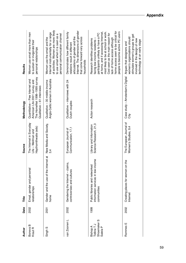| Author                                                               | Date        | Title                                                                               | Source                                                                  | Methodology                                                                                                                     | Results                                                                                                                                                                                                                                                                                                                         |
|----------------------------------------------------------------------|-------------|-------------------------------------------------------------------------------------|-------------------------------------------------------------------------|---------------------------------------------------------------------------------------------------------------------------------|---------------------------------------------------------------------------------------------------------------------------------------------------------------------------------------------------------------------------------------------------------------------------------------------------------------------------------|
| ⋒<br>Boneva<br>Kraut <sub>R</sub>                                    | 2002        | Email, gender and personal<br>relationships                                         | The Internet in Everyday<br>Haythornthwaite (eds)<br>Life - Wellman and | The HomeNet 1998-1999 survey<br>Quantitative - Pew Internet and<br>American Life 2001 survey and<br>Qualitative - 61 interviews | Women use email more than men<br>to sustain or invigorate their<br>personal relationships                                                                                                                                                                                                                                       |
| Singh <sub>S</sub>                                                   | <b>2001</b> | nternet at<br>Gender and the use of the in<br>home                                  | New Media and Society,<br>34                                            | Anglo-Celtic women in Australia<br>Qualitative - 30 middle-income                                                               | of activities. Women are more likely<br>Internet instrumentally for a range<br>personal communication channel<br>to use email when it is seen as a<br>Women use the email and the                                                                                                                                               |
| van Zoonen L                                                         | 2002        | Gendering the Internet - claims,<br>controversies and cultures                      | Communication, 17,1<br>European Journal of                              | Qualitative - interviews with 24<br>Dutch couples                                                                               | Internet. The dimensions of gender<br>Demonstrates how different family<br>articulations of gender and the<br>that come forward vary across<br>relations result in different<br>households                                                                                                                                      |
| Shoemaker <sub>S</sub><br>Tidline T J<br><b>Bishop A</b><br>Salela P | 1999        | information services in low-income<br>Public libraries and networked<br>communities | Science Research, 21,3<br>Library and Information                       | Action research                                                                                                                 | home access seen to be critical for<br>at home, and if accessing Internet,<br>people to become active PC users<br>most likely to be at school or work.<br>participants unlikely to have a PC<br>Cost seen as the main reason for<br>lack of home access although<br>Research identifies problems<br>facing low-income residents |
| Rommes E                                                             | 2002        | Creating places for women on the<br>Internet                                        | The European Journal of<br>Women's Studies, 9,4                         | Case study - Amsterdam's Digital<br>Ğ                                                                                           | stimulate women's groups to get<br>women's organisations should<br>involved in the design of new<br>technology at an early stage<br>Argues that designers and                                                                                                                                                                   |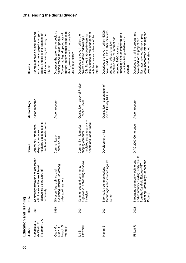| Education and Training                              |             |                                                                                                                                                         |                                                                                                           |                                                     |                                                                                                                                                                                                                                                       |
|-----------------------------------------------------|-------------|---------------------------------------------------------------------------------------------------------------------------------------------------------|-----------------------------------------------------------------------------------------------------------|-----------------------------------------------------|-------------------------------------------------------------------------------------------------------------------------------------------------------------------------------------------------------------------------------------------------------|
| Author                                              | Date        | Title                                                                                                                                                   | Source                                                                                                    | Methodology                                         | Results                                                                                                                                                                                                                                               |
| Ripamonti LA<br>Casapulla G<br>de Cindio F          | <b>2001</b> | cess for<br>jer<br>Community networks and ac<br>all in the era of the free Inter<br>discovering the treasure' of<br>community                           | mediated social relations -<br>Keeble and Loader (eds)<br>Community Informatics:<br>shaping computer-     | Action research                                     | as a game has engaged a range of<br>Example of how a project devised<br>people and led to the teaching of<br>skills in accessing and using the<br>Internet                                                                                            |
| Hoppin <sub>S</sub><br>UM Vpo⊃<br>Wendt P<br>Dunn D | 1999        | evaluating Internet use among<br>Silver surfers: training and<br>older adult learners                                                                   | Communication<br>Education, 48                                                                            | Action research                                     | Discusses the attempts to design a<br>Course had high drop-out rate with<br>authors identifying that attitudes to<br>life in general affect older people's<br>training model for older people.<br>use of technology                                   |
| Steward F<br>Liff S                                 | <b>2001</b> | social<br>Communities and community<br>e-gateways: networking for<br>inclusion                                                                          | -1<br>mediated social relations<br>Keeble and Loader (eds)<br>Community Informatics:<br>shaping computer- | Qualitative - study of Project<br>Cosmic, Devon     | little evidence of real engagement<br>ICTs. Notes that despite training,<br>Describes the ways in which the<br>with the creative potential of the<br>project has delivered training in<br>Internet                                                    |
| Hamm <sub>S</sub>                                   | <b>2001</b> | against<br>Information communications<br>technologies and violence<br>women                                                                             | Development, 44,3                                                                                         | Qualitative - observation of<br>use of ICTs by NGOs | Describes the ways in which NGOs<br>have used ICTs to further initiatives<br>knowledge and so improved their<br>Identifies how the Internet has<br>capacity-building initiatives for<br>and as an educational tool<br>improved NGO access to<br>women |
| Pinkett R                                           | 2002        | and community building: early results<br>Integrating community technology<br>Creating Community Connections<br>from the Camfield Estates-MIT<br>Project | DIAC 2002 Conference                                                                                      | Action research                                     | Describes the training programme<br>were incorporated into training for<br>illustrates how real-life examples<br>developed for the project and<br>greater understanding                                                                               |
|                                                     |             |                                                                                                                                                         |                                                                                                           |                                                     |                                                                                                                                                                                                                                                       |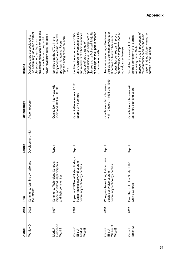| Author                                             | Date | Title                                                                                                       | Source            | Methodology                                                    | Results                                                                                                                                                                                                                                                                                |
|----------------------------------------------------|------|-------------------------------------------------------------------------------------------------------------|-------------------|----------------------------------------------------------------|----------------------------------------------------------------------------------------------------------------------------------------------------------------------------------------------------------------------------------------------------------------------------------------|
| Wortley D                                          | 2002 | Community learning by radio and<br>the Internet                                                             | Development, 45,4 | Action research                                                | projects bring to local communities<br>use community radio and a virtual<br>never have previously interacted<br>Describes a project designed to<br>experts with whom they could<br>classroom. Argues that such                                                                         |
| Cornebise J<br>Wahl E<br>Mark J                    | 1997 | Community Technology Centres:<br>pants<br>impact on individual partici<br>and their communities             | Report            | Qualitative – interviews with<br>users and staff in 5 CTCs     | study adopted a learner-centred<br>reported being excited to learn<br>dentified that the CTCs in the<br>approach to training. Users<br>more                                                                                                                                            |
| Chow C<br>Wise B<br>Mark J<br>Ellis J              | 1998 | Impact of CTCNet Affiliates: findings<br>from a national survey of users of<br>community technology centres | Report            | Quantitative - survey of 817<br>people at 44 centres           | as a resource for women and girls<br>of participants took part in classes<br>classes and self-directed. Majority<br>Identified the importance of CTCs<br>and members of ethnic minorities.<br>opportunities to use computers in<br>Centres offered a range of<br>to improve job skills |
| Walker <sub>G</sub><br>Chow C<br>Wise B<br>Ellis J | 2000 | Who goes there? Longitudinal case<br>tres<br>community technology cen<br>studies of twelve users of         | Report            | with 12 users in 1998 and 1999<br>Qualitative - two interviews | Users were encouraged to develop<br>their skills to sometimes volunteer<br>employability and improve idea of<br>Argues that centres can improve<br>at centres or teach other users.<br>individuals as learners                                                                         |
| Smith M<br>Cook J                                  | 2002 | of UK<br>Final Report for the Study<br><b>Online Centres</b>                                                | Report            | Qualitative - interviews with<br>28 centre staff and users     | improvement and improvement of<br>reason that individuals wanted to<br>the community seen as the main<br>centres some form of e-learning<br>Found that in almost all of the<br>was taking place. Self-<br>partake in the training                                                      |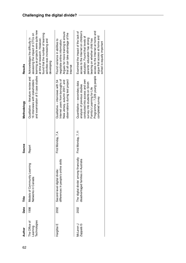| 62 | Author                                    | Date | Title                                                                         | Source             | Methodology                                                                                                                                                                                                         | Results                                                                                                                                                                                                                                                                              |
|----|-------------------------------------------|------|-------------------------------------------------------------------------------|--------------------|---------------------------------------------------------------------------------------------------------------------------------------------------------------------------------------------------------------------|--------------------------------------------------------------------------------------------------------------------------------------------------------------------------------------------------------------------------------------------------------------------------------------|
|    | Technologies<br>The Office of<br>Learning | 1998 | puin<br>Models of Community Lear<br>Networks in Canada                        | Report             | Qualitative - literature review and<br>16 interviews with stakeholders                                                                                                                                              | and examination of 5 case studies learning as projects were quite new<br>found that the number of learning<br>assessing the impact of CTCs on<br>at time of research. However,<br>Acknowledges the difficulty in<br>activities was increasing and<br>developing                      |
|    | Hargittai E                               | 2002 | e skills<br>differences in people's onlin<br>Second-level digital divide:     | First Monday, 7,4. | Internet users from boroughs of<br>observations during test project<br>New Jersey, autumn 2001, and<br>Qualitative - interviews with 54                                                                             | Argues for more training to ensure<br>that all can take advantage of the<br>Found variance in abilities to<br>negotiate online information.<br>Internet                                                                                                                              |
|    | Zappalà G<br>McLaren J                    | 2002 | The 'digital divide' among financially<br>disadvantaged families in Australia | First Monday, 7,11 | Programme - 7,226 young people<br>conducted into access and own<br>Quantitative - secondary data<br>survey into students on Smith<br>analysis of previous studies<br>Family's Learning for Life<br>completed survey | access to the Internet on children's<br>access to the Internet at home and<br>Examined the impact of the lack of<br>argue that access at home and<br>education. Found that levels of<br>parents' education has strong<br>bearing on whether child has<br>school is equally important |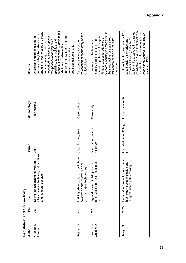| Regulation and Connectivity                |             |                                                                                                         |                                   |                  |                                                                                                                                                                                                                                                                                                                                                                                                        |
|--------------------------------------------|-------------|---------------------------------------------------------------------------------------------------------|-----------------------------------|------------------|--------------------------------------------------------------------------------------------------------------------------------------------------------------------------------------------------------------------------------------------------------------------------------------------------------------------------------------------------------------------------------------------------------|
| Author                                     | Date        | Title                                                                                                   | Source                            | Methodology      | Results                                                                                                                                                                                                                                                                                                                                                                                                |
| Graham <sub>S</sub><br>Marvin <sub>S</sub> | <b>2001</b> | infrastructures, technological mobilities<br>Splintering Urbanism: networked<br>and the urban condition | <b>Book</b>                       | Case studies     | economic dynamics. Examines the<br>and digital technologies of various<br>way in which global urban forms<br>networked metropolitan spaces<br>Describes and theorises on the<br>application of ICTs and broader<br>that possess changing socio-<br>spatial, cultural, political and<br>sorts are fusing to produce<br>geographical polarisation<br>relationship between the<br>processes of social and |
| Graham <sub>S</sub>                        | 2002        | Bridging urban digital divides? Urban<br>polarisation and information and<br>communication technologies | Urban Studies, 39,1               | Case studies     | polarisation of connectivity on the<br>Discusses the impact of the<br>digital divide                                                                                                                                                                                                                                                                                                                   |
| Lentz R G<br>Oden M D                      | 2001        | Digital divide or digital opportunity<br>in the Mississippi Delta region of<br>the US                   | Telecommunications<br>Policy, 25  | Case study       | telecoms industry in urban area, in<br>the surrounding rural area, region<br>economic problems of a region.<br>Finds that despite existence of<br>industry affects the social and<br>still characterised as the least<br>Examines how the telecoms<br>connected                                                                                                                                        |
| Selwyn N                                   | 2002a       | E-stablishing' an inclusive society?<br>Technology, social exclusion and<br>UK government policy making | Journal of Social Policy,<br>31,1 | Policy documents | Explores the UK government's ICT-<br>and ideologically community-based<br>of initiatives. Argues that practically<br>policy in the area covering a range<br>sites cannot equate to equality of<br>provides a thorough review of<br>based social policy drive and<br>access to ICTs                                                                                                                     |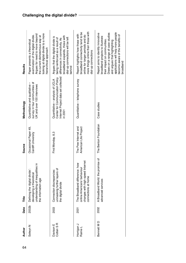| 64 | Author                             | Date        | Title                                                                                                                           | Source                                        | Methodology                                                                                                                   | Results                                                                                                                                                                                                                                                          |
|----|------------------------------------|-------------|---------------------------------------------------------------------------------------------------------------------------------|-----------------------------------------------|-------------------------------------------------------------------------------------------------------------------------------|------------------------------------------------------------------------------------------------------------------------------------------------------------------------------------------------------------------------------------------------------------------|
|    | Selwyn N                           | 2002b       | understanding of inequalities in<br>Defining the 'digital divide':<br>developing a theoretical<br>the information age           | Occasional Paper 49,<br>Cardiff University    | survey in four communities of<br>Quantitative and qualitative -<br>UK and over 100 interviews                                 | looking at digital divide to a more<br>Argues for need to move beyond<br>examination of the digital divide.<br>the current dichotomous way at<br>Paper presents a theoretical<br>hierarchical approach                                                           |
|    | Cotten S <sub>R</sub><br>Davison E | 2003        | unmasking further layers of<br>Connection discrepancies:<br>the digital divide                                                  | First Monday, 8,3                             | Internet Project data set collected<br>Center for Communication Policy<br>Quantitative - analysis of UCLA<br>$\frac{2001}{1}$ | broadband expands, those with<br>Argues that the digital divide is<br>dial-up connections will be left<br>being reinforced as a result of<br>differences in connectivity. As<br>behind                                                                           |
|    | Horrigan J<br>Rainie L             | <b>2001</b> | ternet<br>NOL<br>online Americans' behaviour<br>changes with high-speed Int<br>The Broadband difference:<br>connections at home | The Pew Internet and<br>American Life Project | Quantitative - telephone survey                                                                                               | more things online than those with<br>broadband connectivity tend to be<br>Report highlights how those with<br>online for longer periods and do<br>dial-up connections                                                                                           |
|    | Bennett MD                         | 2002        | A Broadband World: the promise of<br>advanced services                                                                          | The Benton Foundation                         | Case studies                                                                                                                  | applications will help more people<br>Draws on a range of case studies<br>Report aims to identify innovative<br>become aware of the benefits of<br>broadband projects to illustrate<br>their impact on communities.<br>and argues that highlighting<br>broadband |